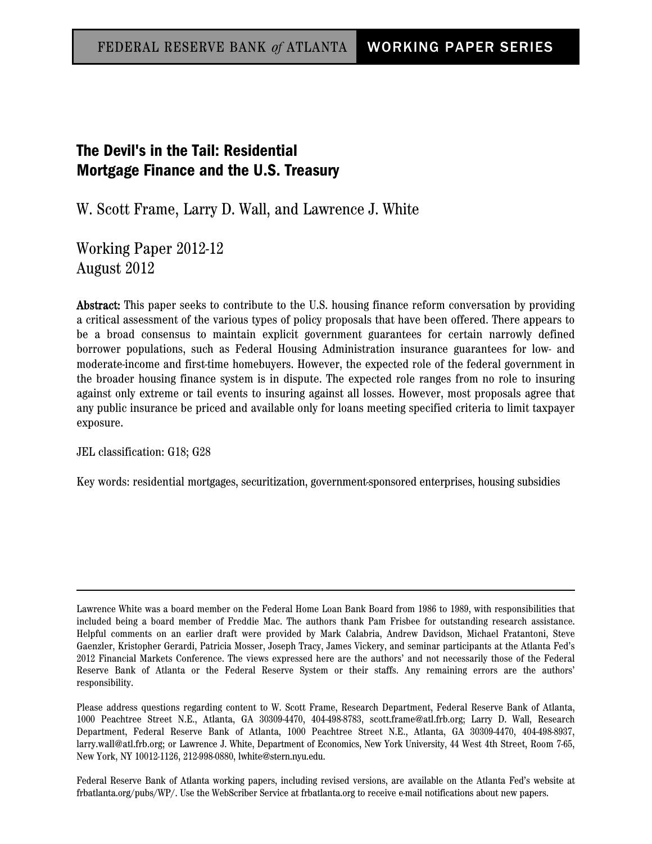# The Devil's in the Tail: Residential Mortgage Finance and the U.S. Treasury

W. Scott Frame, Larry D. Wall, and Lawrence J. White

Working Paper 2012-12 August 2012

Abstract: This paper seeks to contribute to the U.S. housing finance reform conversation by providing a critical assessment of the various types of policy proposals that have been offered. There appears to be a broad consensus to maintain explicit government guarantees for certain narrowly defined borrower populations, such as Federal Housing Administration insurance guarantees for low- and moderate-income and first-time homebuyers. However, the expected role of the federal government in the broader housing finance system is in dispute. The expected role ranges from no role to insuring against only extreme or tail events to insuring against all losses. However, most proposals agree that any public insurance be priced and available only for loans meeting specified criteria to limit taxpayer exposure.

JEL classification: G18; G28

Key words: residential mortgages, securitization, government-sponsored enterprises, housing subsidies

Federal Reserve Bank of Atlanta working papers, including revised versions, are available on the Atlanta Fed's website at frbatlanta.org/pubs/WP/. Use the WebScriber Service at frbatlanta.org to receive e-mail notifications about new papers.

Lawrence White was a board member on the Federal Home Loan Bank Board from 1986 to 1989, with responsibilities that included being a board member of Freddie Mac. The authors thank Pam Frisbee for outstanding research assistance. Helpful comments on an earlier draft were provided by Mark Calabria, Andrew Davidson, Michael Fratantoni, Steve Gaenzler, Kristopher Gerardi, Patricia Mosser, Joseph Tracy, James Vickery, and seminar participants at the Atlanta Fed's 2012 Financial Markets Conference. The views expressed here are the authors' and not necessarily those of the Federal Reserve Bank of Atlanta or the Federal Reserve System or their staffs. Any remaining errors are the authors' responsibility.

Please address questions regarding content to W. Scott Frame, Research Department, Federal Reserve Bank of Atlanta, 1000 Peachtree Street N.E., Atlanta, GA 30309-4470, 404-498-8783, scott.frame@atl.frb.org; Larry D. Wall, Research Department, Federal Reserve Bank of Atlanta, 1000 Peachtree Street N.E., Atlanta, GA 30309-4470, 404-498-8937, larry.wall@atl.frb.org; or Lawrence J. White, Department of Economics, New York University, 44 West 4th Street, Room 7-65, New York, NY 10012-1126, 212-998-0880, lwhite@stern.nyu.edu.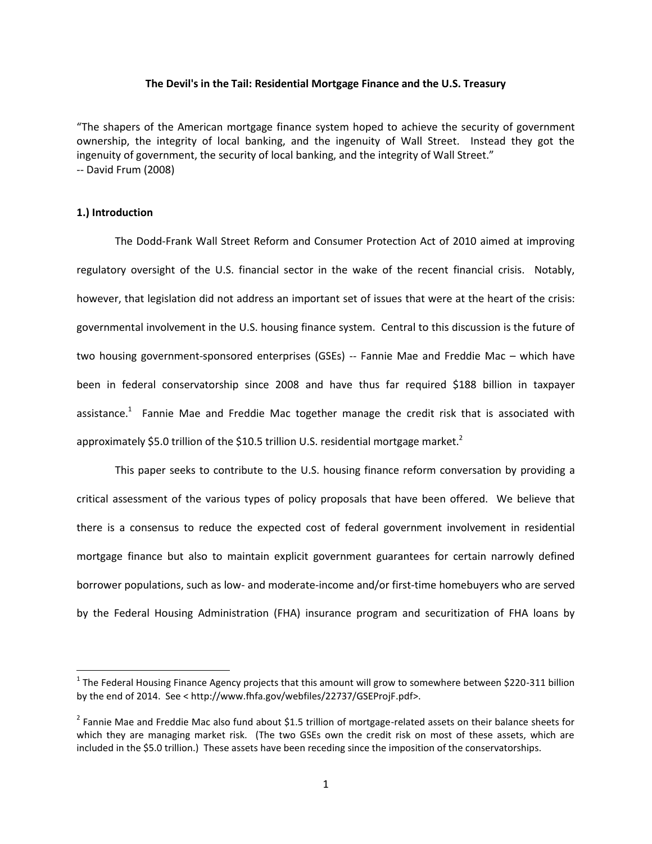#### **The Devil's in the Tail: Residential Mortgage Finance and the U.S. Treasury**

"The shapers of the American mortgage finance system hoped to achieve the security of government ownership, the integrity of local banking, and the ingenuity of Wall Street. Instead they got the ingenuity of government, the security of local banking, and the integrity of Wall Street." -- David Frum (2008)

#### **1.) Introduction**

 $\overline{\phantom{a}}$ 

The Dodd-Frank Wall Street Reform and Consumer Protection Act of 2010 aimed at improving regulatory oversight of the U.S. financial sector in the wake of the recent financial crisis. Notably, however, that legislation did not address an important set of issues that were at the heart of the crisis: governmental involvement in the U.S. housing finance system. Central to this discussion is the future of two housing government-sponsored enterprises (GSEs) -- Fannie Mae and Freddie Mac – which have been in federal conservatorship since 2008 and have thus far required \$188 billion in taxpayer assistance.<sup>1</sup> Fannie Mae and Freddie Mac together manage the credit risk that is associated with approximately \$5.0 trillion of the \$10.5 trillion U.S. residential mortgage market.<sup>2</sup>

This paper seeks to contribute to the U.S. housing finance reform conversation by providing a critical assessment of the various types of policy proposals that have been offered. We believe that there is a consensus to reduce the expected cost of federal government involvement in residential mortgage finance but also to maintain explicit government guarantees for certain narrowly defined borrower populations, such as low- and moderate-income and/or first-time homebuyers who are served by the Federal Housing Administration (FHA) insurance program and securitization of FHA loans by

 $^1$  The Federal Housing Finance Agency projects that this amount will grow to somewhere between \$220-311 billion by the end of 2014. See < http://www.fhfa.gov/webfiles/22737/GSEProjF.pdf>.

 $^2$  Fannie Mae and Freddie Mac also fund about \$1.5 trillion of mortgage-related assets on their balance sheets for which they are managing market risk. (The two GSEs own the credit risk on most of these assets, which are included in the \$5.0 trillion.) These assets have been receding since the imposition of the conservatorships.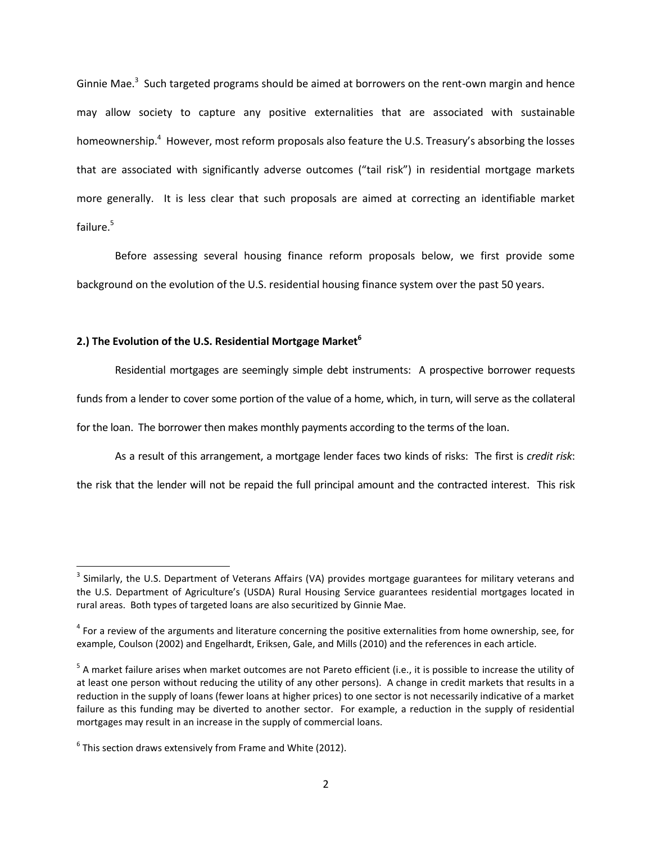Ginnie Mae.<sup>3</sup> Such targeted programs should be aimed at borrowers on the rent-own margin and hence may allow society to capture any positive externalities that are associated with sustainable homeownership.<sup>4</sup> However, most reform proposals also feature the U.S. Treasury's absorbing the losses that are associated with significantly adverse outcomes ("tail risk") in residential mortgage markets more generally. It is less clear that such proposals are aimed at correcting an identifiable market failure.<sup>5</sup>

Before assessing several housing finance reform proposals below, we first provide some background on the evolution of the U.S. residential housing finance system over the past 50 years.

## **2.) The Evolution of the U.S. Residential Mortgage Market<sup>6</sup>**

Residential mortgages are seemingly simple debt instruments: A prospective borrower requests funds from a lender to cover some portion of the value of a home, which, in turn, will serve as the collateral

for the loan. The borrower then makes monthly payments according to the terms of the loan.

As a result of this arrangement, a mortgage lender faces two kinds of risks: The first is *credit risk*:

the risk that the lender will not be repaid the full principal amount and the contracted interest. This risk

 $3$  Similarly, the U.S. Department of Veterans Affairs (VA) provides mortgage guarantees for military veterans and the U.S. Department of Agriculture's (USDA) Rural Housing Service guarantees residential mortgages located in rural areas. Both types of targeted loans are also securitized by Ginnie Mae.

<sup>&</sup>lt;sup>4</sup> For a review of the arguments and literature concerning the positive externalities from home ownership, see, for example, Coulson (2002) and Engelhardt, Eriksen, Gale, and Mills (2010) and the references in each article.

<sup>&</sup>lt;sup>5</sup> A market failure arises when market outcomes are not Pareto efficient (i.e., it is possible to increase the utility of at least one person without reducing the utility of any other persons). A change in credit markets that results in a reduction in the supply of loans (fewer loans at higher prices) to one sector is not necessarily indicative of a market failure as this funding may be diverted to another sector. For example, a reduction in the supply of residential mortgages may result in an increase in the supply of commercial loans.

 $^6$  This section draws extensively from Frame and White (2012).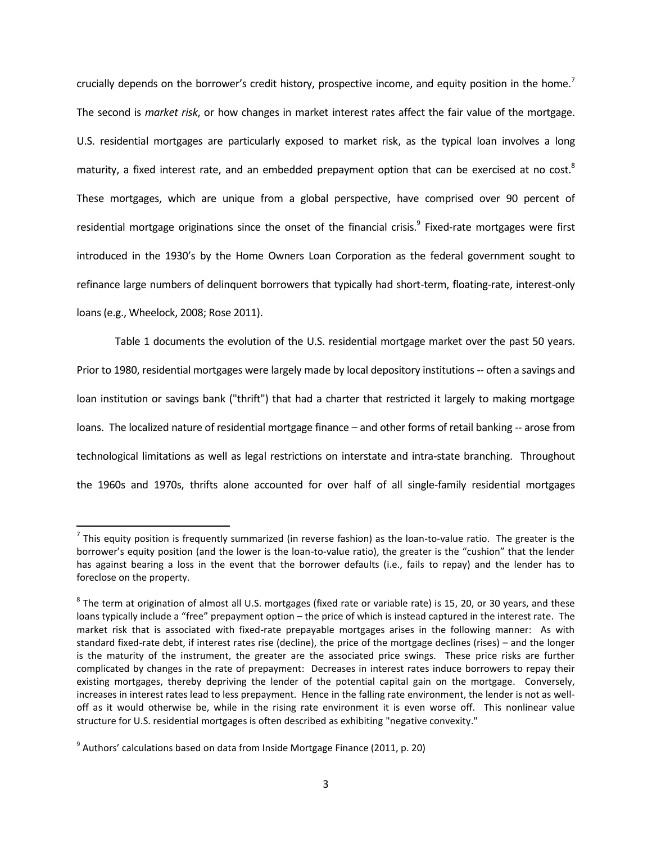crucially depends on the borrower's credit history, prospective income, and equity position in the home.<sup>7</sup> The second is *market risk*, or how changes in market interest rates affect the fair value of the mortgage. U.S. residential mortgages are particularly exposed to market risk, as the typical loan involves a long maturity, a fixed interest rate, and an embedded prepayment option that can be exercised at no cost.<sup>8</sup> These mortgages, which are unique from a global perspective, have comprised over 90 percent of residential mortgage originations since the onset of the financial crisis.<sup>9</sup> Fixed-rate mortgages were first introduced in the 1930's by the Home Owners Loan Corporation as the federal government sought to refinance large numbers of delinquent borrowers that typically had short-term, floating-rate, interest-only loans (e.g., Wheelock, 2008; Rose 2011).

Table 1 documents the evolution of the U.S. residential mortgage market over the past 50 years. Prior to 1980, residential mortgages were largely made by local depository institutions -- often a savings and loan institution or savings bank ("thrift") that had a charter that restricted it largely to making mortgage loans. The localized nature of residential mortgage finance – and other forms of retail banking -- arose from technological limitations as well as legal restrictions on interstate and intra-state branching. Throughout the 1960s and 1970s, thrifts alone accounted for over half of all single-family residential mortgages

 $\overline{a}$ 

 $^7$  This equity position is frequently summarized (in reverse fashion) as the loan-to-value ratio. The greater is the borrower's equity position (and the lower is the loan-to-value ratio), the greater is the "cushion" that the lender has against bearing a loss in the event that the borrower defaults (i.e., fails to repay) and the lender has to foreclose on the property.

 $^8$  The term at origination of almost all U.S. mortgages (fixed rate or variable rate) is 15, 20, or 30 years, and these loans typically include a "free" prepayment option – the price of which is instead captured in the interest rate. The market risk that is associated with fixed-rate prepayable mortgages arises in the following manner: As with standard fixed-rate debt, if interest rates rise (decline), the price of the mortgage declines (rises) – and the longer is the maturity of the instrument, the greater are the associated price swings. These price risks are further complicated by changes in the rate of prepayment: Decreases in interest rates induce borrowers to repay their existing mortgages, thereby depriving the lender of the potential capital gain on the mortgage. Conversely, increases in interest rates lead to less prepayment. Hence in the falling rate environment, the lender is not as welloff as it would otherwise be, while in the rising rate environment it is even worse off. This nonlinear value structure for U.S. residential mortgages is often described as exhibiting "negative convexity."

 $^9$  Authors' calculations based on data from Inside Mortgage Finance (2011, p. 20)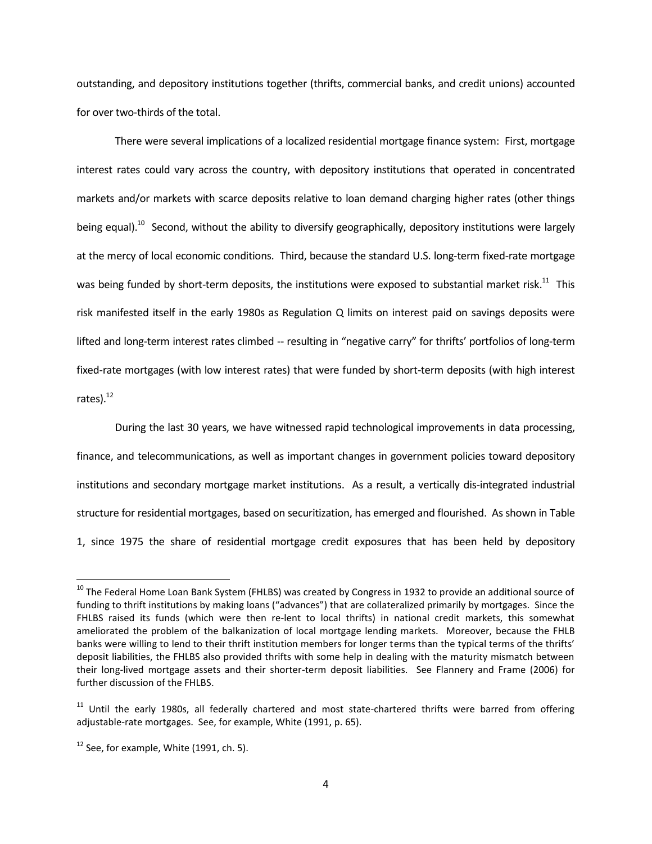outstanding, and depository institutions together (thrifts, commercial banks, and credit unions) accounted for over two-thirds of the total.

There were several implications of a localized residential mortgage finance system: First, mortgage interest rates could vary across the country, with depository institutions that operated in concentrated markets and/or markets with scarce deposits relative to loan demand charging higher rates (other things being equal).<sup>10</sup> Second, without the ability to diversify geographically, depository institutions were largely at the mercy of local economic conditions. Third, because the standard U.S. long-term fixed-rate mortgage was being funded by short-term deposits, the institutions were exposed to substantial market risk. $^{11}$  This risk manifested itself in the early 1980s as Regulation Q limits on interest paid on savings deposits were lifted and long-term interest rates climbed -- resulting in "negative carry" for thrifts' portfolios of long-term fixed-rate mortgages (with low interest rates) that were funded by short-term deposits (with high interest rates). $^{12}$ 

During the last 30 years, we have witnessed rapid technological improvements in data processing, finance, and telecommunications, as well as important changes in government policies toward depository institutions and secondary mortgage market institutions. As a result, a vertically dis-integrated industrial structure for residential mortgages, based on securitization, has emerged and flourished. As shown in Table 1, since 1975 the share of residential mortgage credit exposures that has been held by depository

<sup>&</sup>lt;sup>10</sup> The Federal Home Loan Bank System (FHLBS) was created by Congress in 1932 to provide an additional source of funding to thrift institutions by making loans ("advances") that are collateralized primarily by mortgages. Since the FHLBS raised its funds (which were then re-lent to local thrifts) in national credit markets, this somewhat ameliorated the problem of the balkanization of local mortgage lending markets. Moreover, because the FHLB banks were willing to lend to their thrift institution members for longer terms than the typical terms of the thrifts' deposit liabilities, the FHLBS also provided thrifts with some help in dealing with the maturity mismatch between their long-lived mortgage assets and their shorter-term deposit liabilities. See Flannery and Frame (2006) for further discussion of the FHLBS.

<sup>&</sup>lt;sup>11</sup> Until the early 1980s, all federally chartered and most state-chartered thrifts were barred from offering adjustable-rate mortgages. See, for example, White (1991, p. 65).

 $12$  See, for example, White (1991, ch. 5).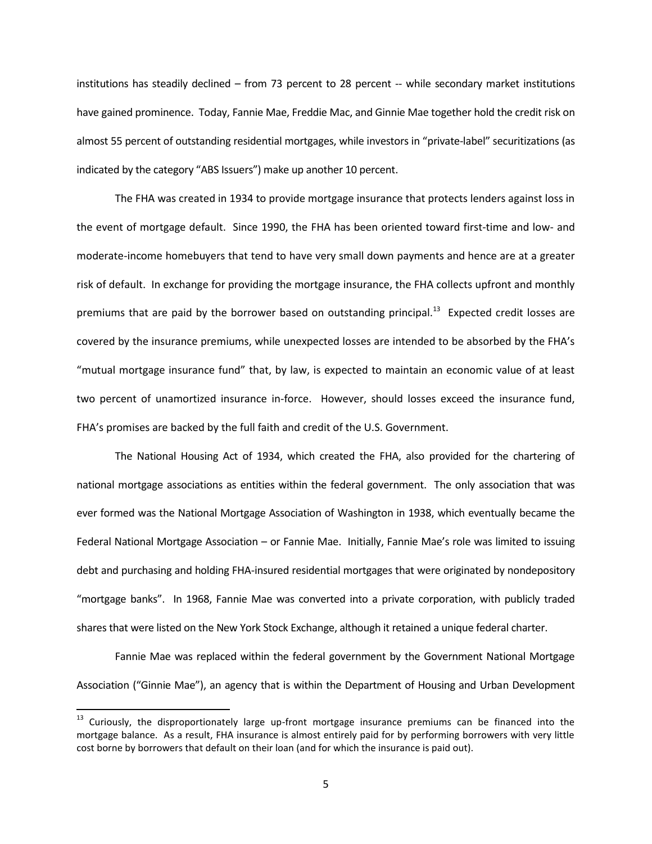institutions has steadily declined – from 73 percent to 28 percent -- while secondary market institutions have gained prominence. Today, Fannie Mae, Freddie Mac, and Ginnie Mae together hold the credit risk on almost 55 percent of outstanding residential mortgages, while investors in "private-label" securitizations (as indicated by the category "ABS Issuers") make up another 10 percent.

The FHA was created in 1934 to provide mortgage insurance that protects lenders against loss in the event of mortgage default. Since 1990, the FHA has been oriented toward first-time and low- and moderate-income homebuyers that tend to have very small down payments and hence are at a greater risk of default. In exchange for providing the mortgage insurance, the FHA collects upfront and monthly premiums that are paid by the borrower based on outstanding principal.<sup>13</sup> Expected credit losses are covered by the insurance premiums, while unexpected losses are intended to be absorbed by the FHA's "mutual mortgage insurance fund" that, by law, is expected to maintain an economic value of at least two percent of unamortized insurance in-force. However, should losses exceed the insurance fund, FHA's promises are backed by the full faith and credit of the U.S. Government.

The National Housing Act of 1934, which created the FHA, also provided for the chartering of national mortgage associations as entities within the federal government. The only association that was ever formed was the National Mortgage Association of Washington in 1938, which eventually became the Federal National Mortgage Association – or Fannie Mae. Initially, Fannie Mae's role was limited to issuing debt and purchasing and holding FHA-insured residential mortgages that were originated by nondepository "mortgage banks". In 1968, Fannie Mae was converted into a private corporation, with publicly traded shares that were listed on the New York Stock Exchange, although it retained a unique federal charter.

Fannie Mae was replaced within the federal government by the Government National Mortgage Association ("Ginnie Mae"), an agency that is within the Department of Housing and Urban Development

 $\overline{a}$ 

<sup>&</sup>lt;sup>13</sup> Curiously, the disproportionately large up-front mortgage insurance premiums can be financed into the mortgage balance. As a result, FHA insurance is almost entirely paid for by performing borrowers with very little cost borne by borrowers that default on their loan (and for which the insurance is paid out).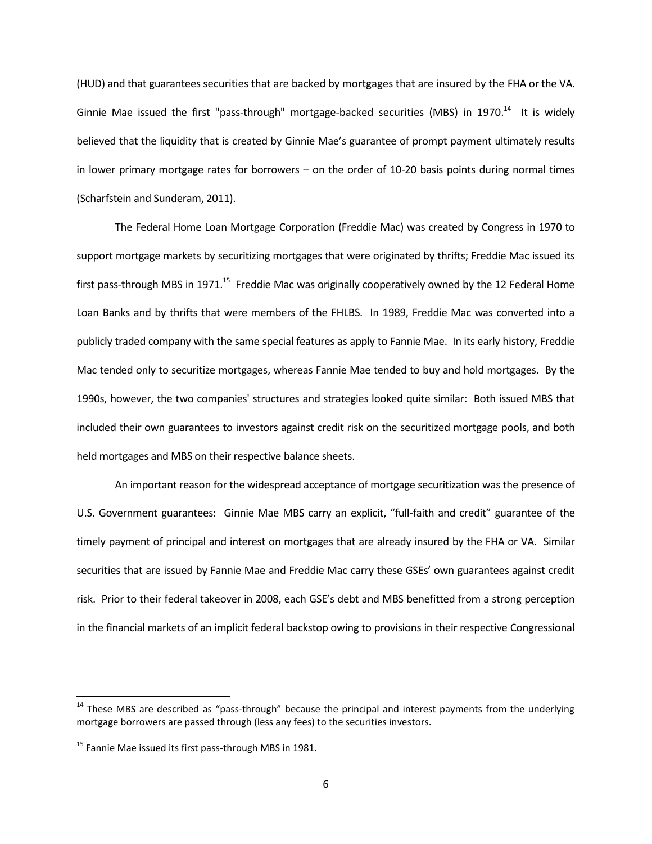(HUD) and that guarantees securities that are backed by mortgages that are insured by the FHA or the VA. Ginnie Mae issued the first "pass-through" mortgage-backed securities (MBS) in 1970.<sup>14</sup> It is widely believed that the liquidity that is created by Ginnie Mae's guarantee of prompt payment ultimately results in lower primary mortgage rates for borrowers – on the order of 10-20 basis points during normal times (Scharfstein and Sunderam, 2011).

The Federal Home Loan Mortgage Corporation (Freddie Mac) was created by Congress in 1970 to support mortgage markets by securitizing mortgages that were originated by thrifts; Freddie Mac issued its first pass-through MBS in 1971.<sup>15</sup> Freddie Mac was originally cooperatively owned by the 12 Federal Home Loan Banks and by thrifts that were members of the FHLBS. In 1989, Freddie Mac was converted into a publicly traded company with the same special features as apply to Fannie Mae. In its early history, Freddie Mac tended only to securitize mortgages, whereas Fannie Mae tended to buy and hold mortgages. By the 1990s, however, the two companies' structures and strategies looked quite similar: Both issued MBS that included their own guarantees to investors against credit risk on the securitized mortgage pools, and both held mortgages and MBS on their respective balance sheets.

An important reason for the widespread acceptance of mortgage securitization was the presence of U.S. Government guarantees: Ginnie Mae MBS carry an explicit, "full-faith and credit" guarantee of the timely payment of principal and interest on mortgages that are already insured by the FHA or VA. Similar securities that are issued by Fannie Mae and Freddie Mac carry these GSEs' own guarantees against credit risk. Prior to their federal takeover in 2008, each GSE's debt and MBS benefitted from a strong perception in the financial markets of an implicit federal backstop owing to provisions in their respective Congressional

l

 $14$  These MBS are described as "pass-through" because the principal and interest payments from the underlying mortgage borrowers are passed through (less any fees) to the securities investors.

 $15$  Fannie Mae issued its first pass-through MBS in 1981.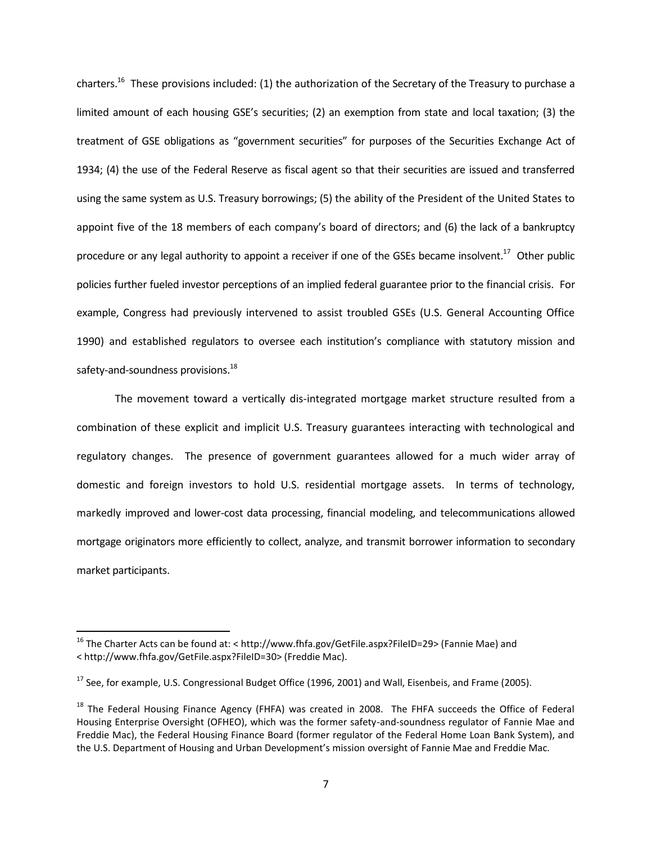charters.<sup>16</sup> These provisions included: (1) the authorization of the Secretary of the Treasury to purchase a limited amount of each housing GSE's securities; (2) an exemption from state and local taxation; (3) the treatment of GSE obligations as "government securities" for purposes of the Securities Exchange Act of 1934; (4) the use of the Federal Reserve as fiscal agent so that their securities are issued and transferred using the same system as U.S. Treasury borrowings; (5) the ability of the President of the United States to appoint five of the 18 members of each company's board of directors; and (6) the lack of a bankruptcy procedure or any legal authority to appoint a receiver if one of the GSEs became insolvent.<sup>17</sup> Other public policies further fueled investor perceptions of an implied federal guarantee prior to the financial crisis. For example, Congress had previously intervened to assist troubled GSEs (U.S. General Accounting Office 1990) and established regulators to oversee each institution's compliance with statutory mission and safety-and-soundness provisions. $^{18}$ 

The movement toward a vertically dis-integrated mortgage market structure resulted from a combination of these explicit and implicit U.S. Treasury guarantees interacting with technological and regulatory changes. The presence of government guarantees allowed for a much wider array of domestic and foreign investors to hold U.S. residential mortgage assets. In terms of technology, markedly improved and lower-cost data processing, financial modeling, and telecommunications allowed mortgage originators more efficiently to collect, analyze, and transmit borrower information to secondary market participants.

<sup>16</sup> The Charter Acts can be found at: < http://www.fhfa.gov/GetFile.aspx?FileID=29> (Fannie Mae) and < http://www.fhfa.gov/GetFile.aspx?FileID=30> (Freddie Mac).

 $17$  See, for example, U.S. Congressional Budget Office (1996, 2001) and Wall, Eisenbeis, and Frame (2005).

<sup>&</sup>lt;sup>18</sup> The Federal Housing Finance Agency (FHFA) was created in 2008. The FHFA succeeds the Office of Federal Housing Enterprise Oversight (OFHEO), which was the former safety-and-soundness regulator of Fannie Mae and Freddie Mac), the Federal Housing Finance Board (former regulator of the Federal Home Loan Bank System), and the U.S. Department of Housing and Urban Development's mission oversight of Fannie Mae and Freddie Mac.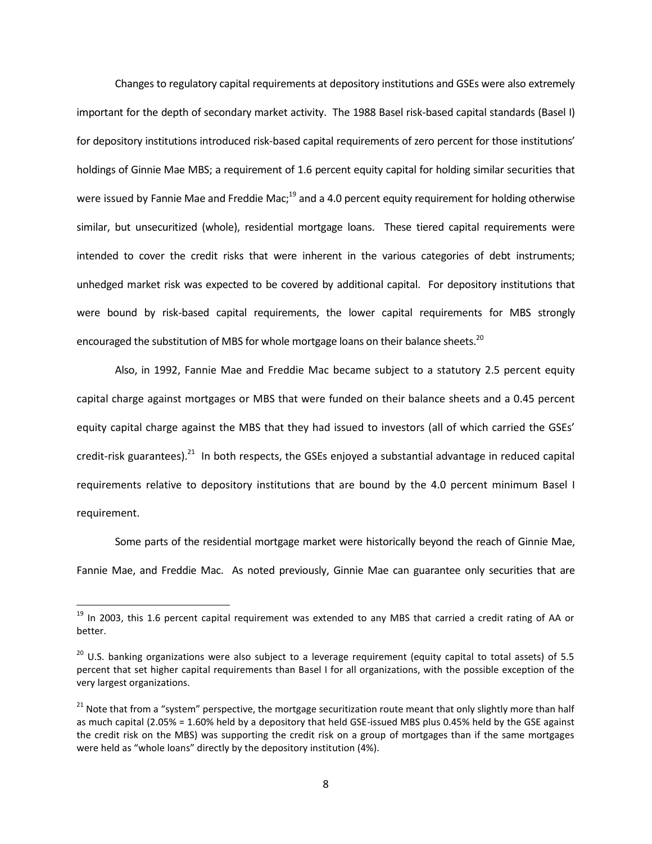Changes to regulatory capital requirements at depository institutions and GSEs were also extremely important for the depth of secondary market activity. The 1988 Basel risk-based capital standards (Basel I) for depository institutions introduced risk-based capital requirements of zero percent for those institutions' holdings of Ginnie Mae MBS; a requirement of 1.6 percent equity capital for holding similar securities that were issued by Fannie Mae and Freddie Mac;<sup>19</sup> and a 4.0 percent equity requirement for holding otherwise similar, but unsecuritized (whole), residential mortgage loans. These tiered capital requirements were intended to cover the credit risks that were inherent in the various categories of debt instruments; unhedged market risk was expected to be covered by additional capital. For depository institutions that were bound by risk-based capital requirements, the lower capital requirements for MBS strongly encouraged the substitution of MBS for whole mortgage loans on their balance sheets.<sup>20</sup>

Also, in 1992, Fannie Mae and Freddie Mac became subject to a statutory 2.5 percent equity capital charge against mortgages or MBS that were funded on their balance sheets and a 0.45 percent equity capital charge against the MBS that they had issued to investors (all of which carried the GSEs' credit-risk guarantees).<sup>21</sup> In both respects, the GSEs enjoyed a substantial advantage in reduced capital requirements relative to depository institutions that are bound by the 4.0 percent minimum Basel I requirement.

Some parts of the residential mortgage market were historically beyond the reach of Ginnie Mae, Fannie Mae, and Freddie Mac. As noted previously, Ginnie Mae can guarantee only securities that are

 $19$  In 2003, this 1.6 percent capital requirement was extended to any MBS that carried a credit rating of AA or better.

 $20$  U.S. banking organizations were also subject to a leverage requirement (equity capital to total assets) of 5.5 percent that set higher capital requirements than Basel I for all organizations, with the possible exception of the very largest organizations.

<sup>&</sup>lt;sup>21</sup> Note that from a "system" perspective, the mortgage securitization route meant that only slightly more than half as much capital (2.05% = 1.60% held by a depository that held GSE-issued MBS plus 0.45% held by the GSE against the credit risk on the MBS) was supporting the credit risk on a group of mortgages than if the same mortgages were held as "whole loans" directly by the depository institution (4%).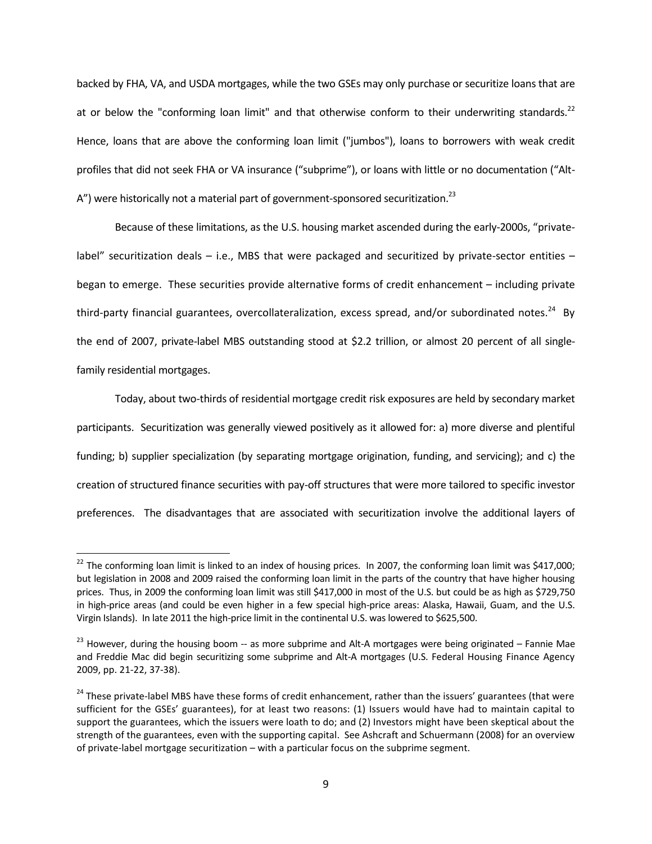backed by FHA, VA, and USDA mortgages, while the two GSEs may only purchase or securitize loansthat are at or below the "conforming loan limit" and that otherwise conform to their underwriting standards.<sup>22</sup> Hence, loans that are above the conforming loan limit ("jumbos"), loans to borrowers with weak credit profiles that did not seek FHA or VA insurance ("subprime"), or loans with little or no documentation ("Alt- $A$ ") were historically not a material part of government-sponsored securitization.<sup>23</sup>

Because of these limitations, as the U.S. housing market ascended during the early-2000s, "privatelabel" securitization deals  $-$  i.e., MBS that were packaged and securitized by private-sector entities  $$ began to emerge. These securities provide alternative forms of credit enhancement – including private third-party financial guarantees, overcollateralization, excess spread, and/or subordinated notes.<sup>24</sup> By the end of 2007, private-label MBS outstanding stood at \$2.2 trillion, or almost 20 percent of all singlefamily residential mortgages.

Today, about two-thirds of residential mortgage credit risk exposures are held by secondary market participants. Securitization was generally viewed positively as it allowed for: a) more diverse and plentiful funding; b) supplier specialization (by separating mortgage origination, funding, and servicing); and c) the creation of structured finance securities with pay-off structures that were more tailored to specific investor preferences. The disadvantages that are associated with securitization involve the additional layers of

l

 $22$  The conforming loan limit is linked to an index of housing prices. In 2007, the conforming loan limit was \$417,000; but legislation in 2008 and 2009 raised the conforming loan limit in the parts of the country that have higher housing prices. Thus, in 2009 the conforming loan limit was still \$417,000 in most of the U.S. but could be as high as \$729,750 in high-price areas (and could be even higher in a few special high-price areas: Alaska, Hawaii, Guam, and the U.S. Virgin Islands). In late 2011 the high-price limit in the continental U.S. was lowered to \$625,500.

 $23$  However, during the housing boom -- as more subprime and Alt-A mortgages were being originated – Fannie Mae and Freddie Mac did begin securitizing some subprime and Alt-A mortgages (U.S. Federal Housing Finance Agency 2009, pp. 21-22, 37-38).

<sup>&</sup>lt;sup>24</sup> These private-label MBS have these forms of credit enhancement, rather than the issuers' guarantees (that were sufficient for the GSEs' guarantees), for at least two reasons: (1) Issuers would have had to maintain capital to support the guarantees, which the issuers were loath to do; and (2) Investors might have been skeptical about the strength of the guarantees, even with the supporting capital. See Ashcraft and Schuermann (2008) for an overview of private-label mortgage securitization – with a particular focus on the subprime segment.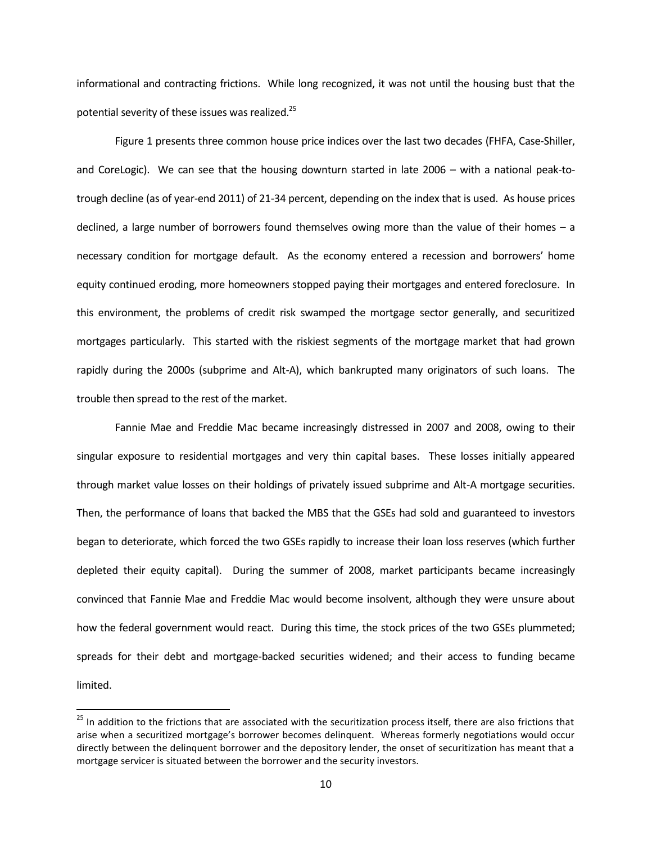informational and contracting frictions. While long recognized, it was not until the housing bust that the potential severity of these issues was realized.<sup>25</sup>

Figure 1 presents three common house price indices over the last two decades (FHFA, Case-Shiller, and CoreLogic). We can see that the housing downturn started in late 2006 – with a national peak-totrough decline (as of year-end 2011) of 21-34 percent, depending on the index that is used. As house prices declined, a large number of borrowers found themselves owing more than the value of their homes – a necessary condition for mortgage default. As the economy entered a recession and borrowers' home equity continued eroding, more homeowners stopped paying their mortgages and entered foreclosure. In this environment, the problems of credit risk swamped the mortgage sector generally, and securitized mortgages particularly. This started with the riskiest segments of the mortgage market that had grown rapidly during the 2000s (subprime and Alt-A), which bankrupted many originators of such loans. The trouble then spread to the rest of the market.

Fannie Mae and Freddie Mac became increasingly distressed in 2007 and 2008, owing to their singular exposure to residential mortgages and very thin capital bases. These losses initially appeared through market value losses on their holdings of privately issued subprime and Alt-A mortgage securities. Then, the performance of loans that backed the MBS that the GSEs had sold and guaranteed to investors began to deteriorate, which forced the two GSEs rapidly to increase their loan loss reserves (which further depleted their equity capital). During the summer of 2008, market participants became increasingly convinced that Fannie Mae and Freddie Mac would become insolvent, although they were unsure about how the federal government would react. During this time, the stock prices of the two GSEs plummeted; spreads for their debt and mortgage-backed securities widened; and their access to funding became limited.

 $\overline{a}$ 

 $^{25}$  In addition to the frictions that are associated with the securitization process itself, there are also frictions that arise when a securitized mortgage's borrower becomes delinquent. Whereas formerly negotiations would occur directly between the delinquent borrower and the depository lender, the onset of securitization has meant that a mortgage servicer is situated between the borrower and the security investors.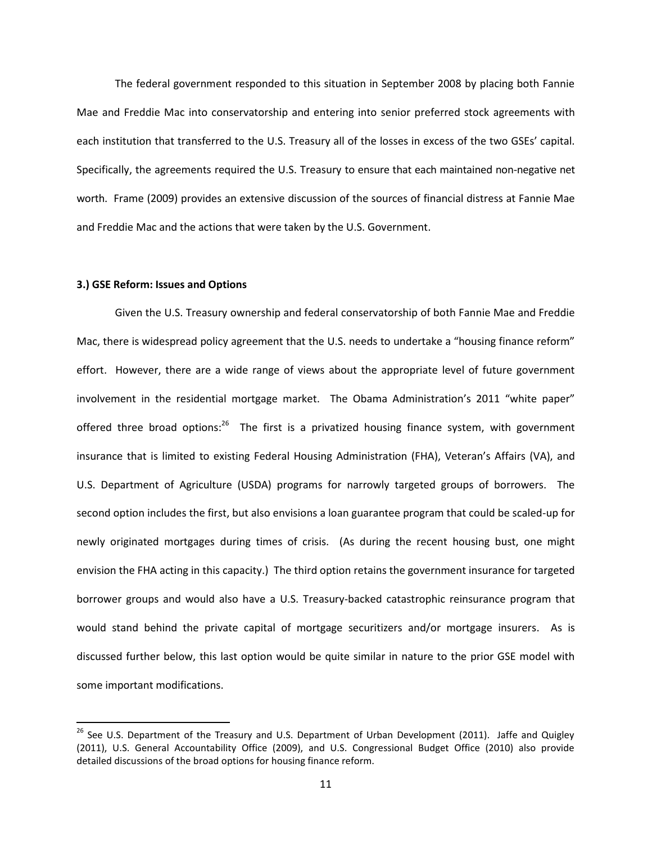The federal government responded to this situation in September 2008 by placing both Fannie Mae and Freddie Mac into conservatorship and entering into senior preferred stock agreements with each institution that transferred to the U.S. Treasury all of the losses in excess of the two GSEs' capital. Specifically, the agreements required the U.S. Treasury to ensure that each maintained non-negative net worth. Frame (2009) provides an extensive discussion of the sources of financial distress at Fannie Mae and Freddie Mac and the actions that were taken by the U.S. Government.

#### **3.) GSE Reform: Issues and Options**

 $\overline{\phantom{a}}$ 

Given the U.S. Treasury ownership and federal conservatorship of both Fannie Mae and Freddie Mac, there is widespread policy agreement that the U.S. needs to undertake a "housing finance reform" effort. However, there are a wide range of views about the appropriate level of future government involvement in the residential mortgage market. The Obama Administration's 2011 "white paper" offered three broad options:<sup>26</sup> The first is a privatized housing finance system, with government insurance that is limited to existing Federal Housing Administration (FHA), Veteran's Affairs (VA), and U.S. Department of Agriculture (USDA) programs for narrowly targeted groups of borrowers. The second option includes the first, but also envisions a loan guarantee program that could be scaled-up for newly originated mortgages during times of crisis. (As during the recent housing bust, one might envision the FHA acting in this capacity.) The third option retains the government insurance for targeted borrower groups and would also have a U.S. Treasury-backed catastrophic reinsurance program that would stand behind the private capital of mortgage securitizers and/or mortgage insurers. As is discussed further below, this last option would be quite similar in nature to the prior GSE model with some important modifications.

<sup>&</sup>lt;sup>26</sup> See U.S. Department of the Treasury and U.S. Department of Urban Development (2011). Jaffe and Quigley (2011), U.S. General Accountability Office (2009), and U.S. Congressional Budget Office (2010) also provide detailed discussions of the broad options for housing finance reform.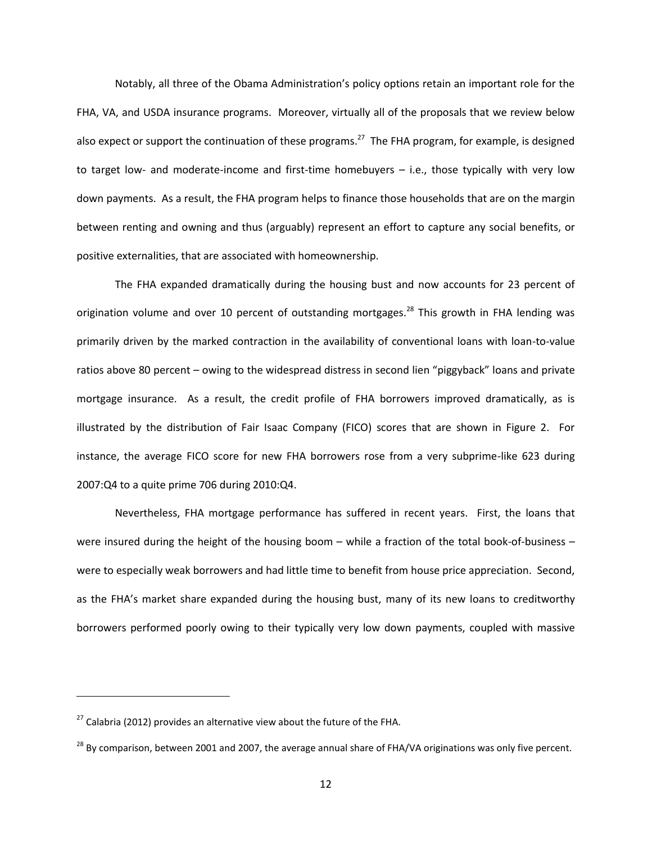Notably, all three of the Obama Administration's policy options retain an important role for the FHA, VA, and USDA insurance programs. Moreover, virtually all of the proposals that we review below also expect or support the continuation of these programs.<sup>27</sup> The FHA program, for example, is designed to target low- and moderate-income and first-time homebuyers – i.e., those typically with very low down payments. As a result, the FHA program helps to finance those households that are on the margin between renting and owning and thus (arguably) represent an effort to capture any social benefits, or positive externalities, that are associated with homeownership.

The FHA expanded dramatically during the housing bust and now accounts for 23 percent of origination volume and over 10 percent of outstanding mortgages.<sup>28</sup> This growth in FHA lending was primarily driven by the marked contraction in the availability of conventional loans with loan-to-value ratios above 80 percent – owing to the widespread distress in second lien "piggyback" loans and private mortgage insurance. As a result, the credit profile of FHA borrowers improved dramatically, as is illustrated by the distribution of Fair Isaac Company (FICO) scores that are shown in Figure 2. For instance, the average FICO score for new FHA borrowers rose from a very subprime-like 623 during 2007:Q4 to a quite prime 706 during 2010:Q4.

Nevertheless, FHA mortgage performance has suffered in recent years. First, the loans that were insured during the height of the housing boom – while a fraction of the total book-of-business – were to especially weak borrowers and had little time to benefit from house price appreciation. Second, as the FHA's market share expanded during the housing bust, many of its new loans to creditworthy borrowers performed poorly owing to their typically very low down payments, coupled with massive

l

 $27$  Calabria (2012) provides an alternative view about the future of the FHA.

<sup>&</sup>lt;sup>28</sup> By comparison, between 2001 and 2007, the average annual share of FHA/VA originations was only five percent.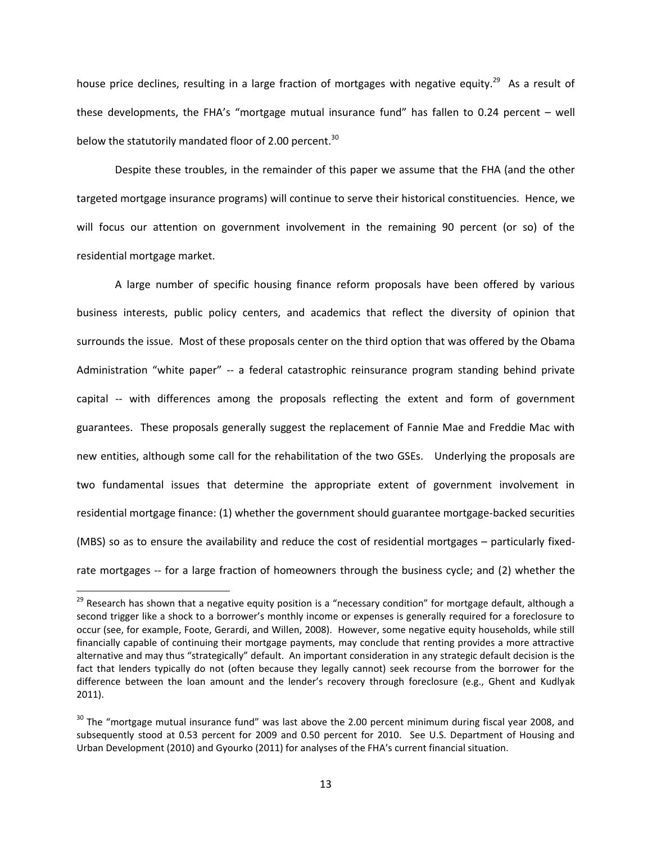house price declines, resulting in a large fraction of mortgages with negative equity.<sup>29</sup> As a result of these developments, the FHA's "mortgage mutual insurance fund" has fallen to 0.24 percent – well below the statutorily mandated floor of 2.00 percent.<sup>30</sup>

Despite these troubles, in the remainder of this paper we assume that the FHA (and the other targeted mortgage insurance programs) will continue to serve their historical constituencies. Hence, we will focus our attention on government involvement in the remaining 90 percent (or so) of the residential mortgage market.

A large number of specific housing finance reform proposals have been offered by various business interests, public policy centers, and academics that reflect the diversity of opinion that surrounds the issue. Most of these proposals center on the third option that was offered by the Obama Administration "white paper" -- a federal catastrophic reinsurance program standing behind private capital -- with differences among the proposals reflecting the extent and form of government guarantees. These proposals generally suggest the replacement of Fannie Mae and Freddie Mac with new entities, although some call for the rehabilitation of the two GSEs. Underlying the proposals are two fundamental issues that determine the appropriate extent of government involvement in residential mortgage finance: (1) whether the government should guarantee mortgage-backed securities (MBS) so as to ensure the availability and reduce the cost of residential mortgages – particularly fixedrate mortgages -- for a large fraction of homeowners through the business cycle; and (2) whether the

<sup>&</sup>lt;sup>29</sup> Research has shown that a negative equity position is a "necessary condition" for mortgage default, although a second trigger like a shock to a borrower's monthly income or expenses is generally required for a foreclosure to occur (see, for example, Foote, Gerardi, and Willen, 2008). However, some negative equity households, while still financially capable of continuing their mortgage payments, may conclude that renting provides a more attractive alternative and may thus "strategically" default. An important consideration in any strategic default decision is the fact that lenders typically do not (often because they legally cannot) seek recourse from the borrower for the difference between the loan amount and the lender's recovery through foreclosure (e.g., Ghent and Kudlyak 2011).

<sup>&</sup>lt;sup>30</sup> The "mortgage mutual insurance fund" was last above the 2.00 percent minimum during fiscal year 2008, and subsequently stood at 0.53 percent for 2009 and 0.50 percent for 2010. See U.S. Department of Housing and Urban Development (2010) and Gyourko (2011) for analyses of the FHA's current financial situation.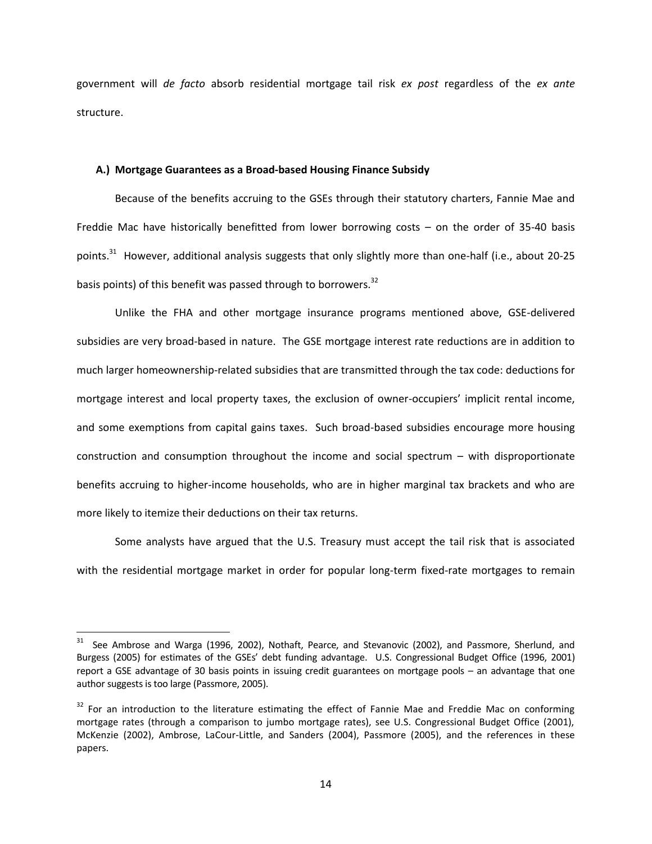government will *de facto* absorb residential mortgage tail risk *ex post* regardless of the *ex ante* structure.

## **A.) Mortgage Guarantees as a Broad-based Housing Finance Subsidy**

Because of the benefits accruing to the GSEs through their statutory charters, Fannie Mae and Freddie Mac have historically benefitted from lower borrowing costs – on the order of 35-40 basis points.<sup>31</sup> However, additional analysis suggests that only slightly more than one-half (i.e., about 20-25 basis points) of this benefit was passed through to borrowers.<sup>32</sup>

Unlike the FHA and other mortgage insurance programs mentioned above, GSE-delivered subsidies are very broad-based in nature. The GSE mortgage interest rate reductions are in addition to much larger homeownership-related subsidies that are transmitted through the tax code: deductions for mortgage interest and local property taxes, the exclusion of owner-occupiers' implicit rental income, and some exemptions from capital gains taxes. Such broad-based subsidies encourage more housing construction and consumption throughout the income and social spectrum – with disproportionate benefits accruing to higher-income households, who are in higher marginal tax brackets and who are more likely to itemize their deductions on their tax returns.

Some analysts have argued that the U.S. Treasury must accept the tail risk that is associated with the residential mortgage market in order for popular long-term fixed-rate mortgages to remain

See Ambrose and Warga (1996, 2002), Nothaft, Pearce, and Stevanovic (2002), and Passmore, Sherlund, and Burgess (2005) for estimates of the GSEs' debt funding advantage. U.S. Congressional Budget Office (1996, 2001) report a GSE advantage of 30 basis points in issuing credit guarantees on mortgage pools – an advantage that one author suggests is too large (Passmore, 2005).

<sup>&</sup>lt;sup>32</sup> For an introduction to the literature estimating the effect of Fannie Mae and Freddie Mac on conforming mortgage rates (through a comparison to jumbo mortgage rates), see U.S. Congressional Budget Office (2001), McKenzie (2002), Ambrose, LaCour-Little, and Sanders (2004), Passmore (2005), and the references in these papers.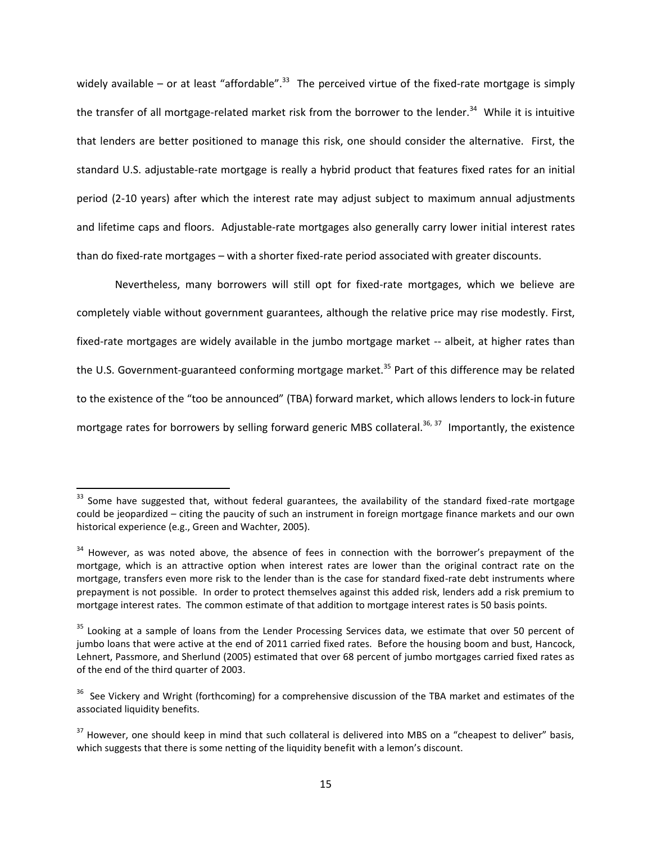widely available – or at least "affordable".<sup>33</sup> The perceived virtue of the fixed-rate mortgage is simply the transfer of all mortgage-related market risk from the borrower to the lender.<sup>34</sup> While it is intuitive that lenders are better positioned to manage this risk, one should consider the alternative. First, the standard U.S. adjustable-rate mortgage is really a hybrid product that features fixed rates for an initial period (2-10 years) after which the interest rate may adjust subject to maximum annual adjustments and lifetime caps and floors. Adjustable-rate mortgages also generally carry lower initial interest rates than do fixed-rate mortgages – with a shorter fixed-rate period associated with greater discounts.

Nevertheless, many borrowers will still opt for fixed-rate mortgages, which we believe are completely viable without government guarantees, although the relative price may rise modestly. First, fixed-rate mortgages are widely available in the jumbo mortgage market -- albeit, at higher rates than the U.S. Government-guaranteed conforming mortgage market.<sup>35</sup> Part of this difference may be related to the existence of the "too be announced" (TBA) forward market, which allows lenders to lock-in future mortgage rates for borrowers by selling forward generic MBS collateral.<sup>36, 37</sup> Importantly, the existence

 $33$  Some have suggested that, without federal guarantees, the availability of the standard fixed-rate mortgage could be jeopardized – citing the paucity of such an instrument in foreign mortgage finance markets and our own historical experience (e.g., Green and Wachter, 2005).

<sup>&</sup>lt;sup>34</sup> However, as was noted above, the absence of fees in connection with the borrower's prepayment of the mortgage, which is an attractive option when interest rates are lower than the original contract rate on the mortgage, transfers even more risk to the lender than is the case for standard fixed-rate debt instruments where prepayment is not possible. In order to protect themselves against this added risk, lenders add a risk premium to mortgage interest rates. The common estimate of that addition to mortgage interest rates is 50 basis points.

<sup>&</sup>lt;sup>35</sup> Looking at a sample of loans from the Lender Processing Services data, we estimate that over 50 percent of jumbo loans that were active at the end of 2011 carried fixed rates. Before the housing boom and bust, Hancock, Lehnert, Passmore, and Sherlund (2005) estimated that over 68 percent of jumbo mortgages carried fixed rates as of the end of the third quarter of 2003.

<sup>&</sup>lt;sup>36</sup> See Vickery and Wright (forthcoming) for a comprehensive discussion of the TBA market and estimates of the associated liquidity benefits.

<sup>&</sup>lt;sup>37</sup> However, one should keep in mind that such collateral is delivered into MBS on a "cheapest to deliver" basis, which suggests that there is some netting of the liquidity benefit with a lemon's discount.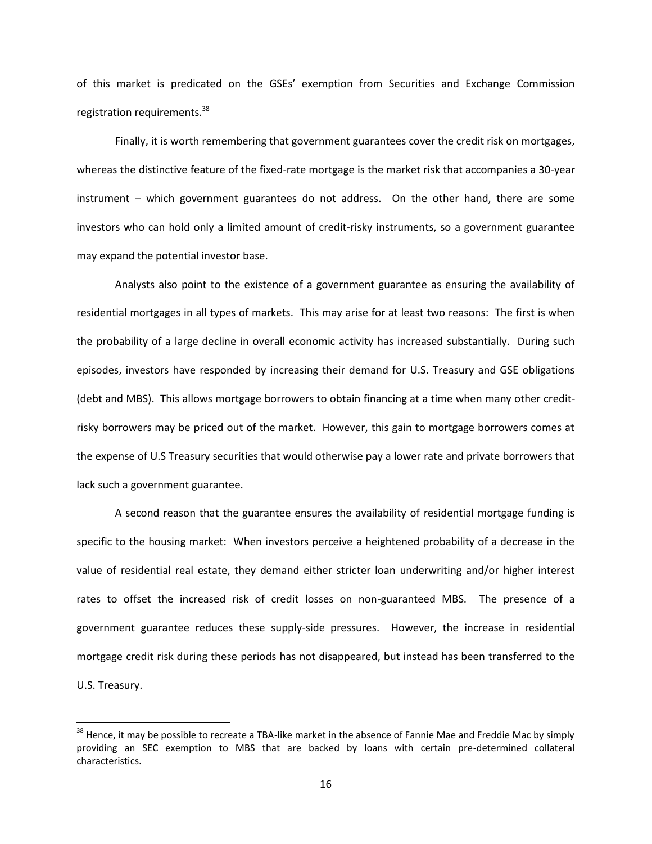of this market is predicated on the GSEs' exemption from Securities and Exchange Commission registration requirements.<sup>38</sup>

Finally, it is worth remembering that government guarantees cover the credit risk on mortgages, whereas the distinctive feature of the fixed-rate mortgage is the market risk that accompanies a 30-year instrument – which government guarantees do not address. On the other hand, there are some investors who can hold only a limited amount of credit-risky instruments, so a government guarantee may expand the potential investor base.

Analysts also point to the existence of a government guarantee as ensuring the availability of residential mortgages in all types of markets. This may arise for at least two reasons: The first is when the probability of a large decline in overall economic activity has increased substantially. During such episodes, investors have responded by increasing their demand for U.S. Treasury and GSE obligations (debt and MBS). This allows mortgage borrowers to obtain financing at a time when many other creditrisky borrowers may be priced out of the market. However, this gain to mortgage borrowers comes at the expense of U.S Treasury securities that would otherwise pay a lower rate and private borrowers that lack such a government guarantee.

A second reason that the guarantee ensures the availability of residential mortgage funding is specific to the housing market: When investors perceive a heightened probability of a decrease in the value of residential real estate, they demand either stricter loan underwriting and/or higher interest rates to offset the increased risk of credit losses on non-guaranteed MBS. The presence of a government guarantee reduces these supply-side pressures. However, the increase in residential mortgage credit risk during these periods has not disappeared, but instead has been transferred to the U.S. Treasury.

<sup>&</sup>lt;sup>38</sup> Hence, it may be possible to recreate a TBA-like market in the absence of Fannie Mae and Freddie Mac by simply providing an SEC exemption to MBS that are backed by loans with certain pre-determined collateral characteristics.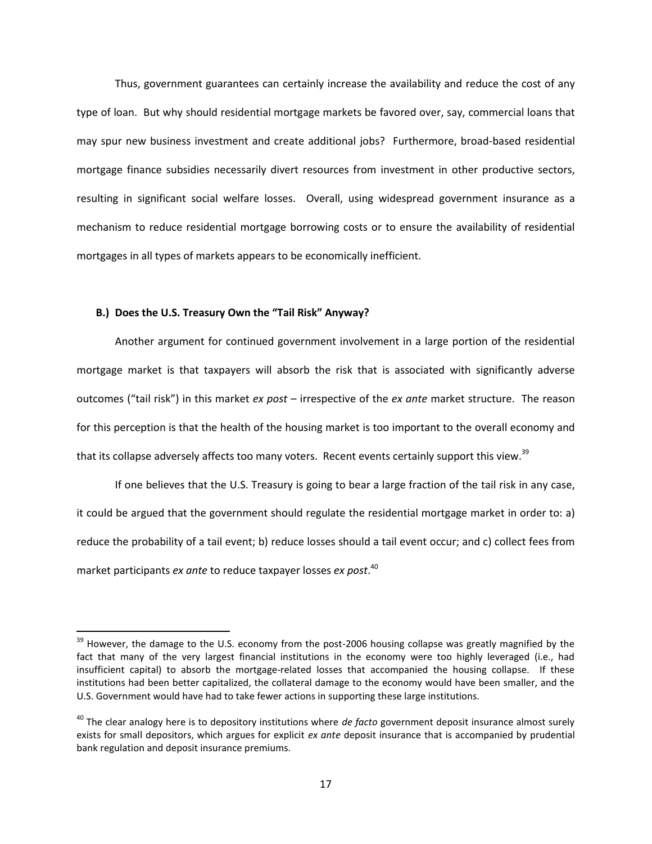Thus, government guarantees can certainly increase the availability and reduce the cost of any type of loan. But why should residential mortgage markets be favored over, say, commercial loans that may spur new business investment and create additional jobs? Furthermore, broad-based residential mortgage finance subsidies necessarily divert resources from investment in other productive sectors, resulting in significant social welfare losses. Overall, using widespread government insurance as a mechanism to reduce residential mortgage borrowing costs or to ensure the availability of residential mortgages in all types of markets appears to be economically inefficient.

#### **B.) Does the U.S. Treasury Own the "Tail Risk" Anyway?**

 $\overline{\phantom{a}}$ 

Another argument for continued government involvement in a large portion of the residential mortgage market is that taxpayers will absorb the risk that is associated with significantly adverse outcomes ("tail risk") in this market *ex post* – irrespective of the *ex ante* market structure. The reason for this perception is that the health of the housing market is too important to the overall economy and that its collapse adversely affects too many voters. Recent events certainly support this view.<sup>39</sup>

If one believes that the U.S. Treasury is going to bear a large fraction of the tail risk in any case, it could be argued that the government should regulate the residential mortgage market in order to: a) reduce the probability of a tail event; b) reduce losses should a tail event occur; and c) collect fees from market participants *ex ante* to reduce taxpayer losses *ex post*. 40

<sup>&</sup>lt;sup>39</sup> However, the damage to the U.S. economy from the post-2006 housing collapse was greatly magnified by the fact that many of the very largest financial institutions in the economy were too highly leveraged (i.e., had insufficient capital) to absorb the mortgage-related losses that accompanied the housing collapse. If these institutions had been better capitalized, the collateral damage to the economy would have been smaller, and the U.S. Government would have had to take fewer actions in supporting these large institutions.

<sup>40</sup> The clear analogy here is to depository institutions where *de facto* government deposit insurance almost surely exists for small depositors, which argues for explicit *ex ante* deposit insurance that is accompanied by prudential bank regulation and deposit insurance premiums.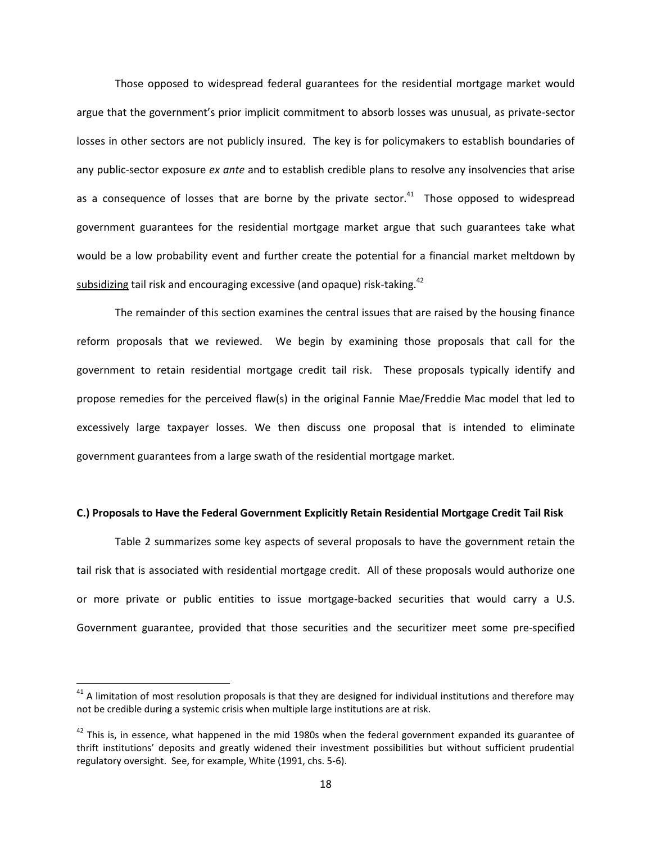Those opposed to widespread federal guarantees for the residential mortgage market would argue that the government's prior implicit commitment to absorb losses was unusual, as private-sector losses in other sectors are not publicly insured. The key is for policymakers to establish boundaries of any public-sector exposure *ex ante* and to establish credible plans to resolve any insolvencies that arise as a consequence of losses that are borne by the private sector. $41$  Those opposed to widespread government guarantees for the residential mortgage market argue that such guarantees take what would be a low probability event and further create the potential for a financial market meltdown by subsidizing tail risk and encouraging excessive (and opaque) risk-taking.<sup>42</sup>

The remainder of this section examines the central issues that are raised by the housing finance reform proposals that we reviewed. We begin by examining those proposals that call for the government to retain residential mortgage credit tail risk. These proposals typically identify and propose remedies for the perceived flaw(s) in the original Fannie Mae/Freddie Mac model that led to excessively large taxpayer losses. We then discuss one proposal that is intended to eliminate government guarantees from a large swath of the residential mortgage market.

#### **C.) Proposals to Have the Federal Government Explicitly Retain Residential Mortgage Credit Tail Risk**

Table 2 summarizes some key aspects of several proposals to have the government retain the tail risk that is associated with residential mortgage credit. All of these proposals would authorize one or more private or public entities to issue mortgage-backed securities that would carry a U.S. Government guarantee, provided that those securities and the securitizer meet some pre-specified

 $\overline{a}$ 

 $41$  A limitation of most resolution proposals is that they are designed for individual institutions and therefore may not be credible during a systemic crisis when multiple large institutions are at risk.

 $42$  This is, in essence, what happened in the mid 1980s when the federal government expanded its guarantee of thrift institutions' deposits and greatly widened their investment possibilities but without sufficient prudential regulatory oversight. See, for example, White (1991, chs. 5-6).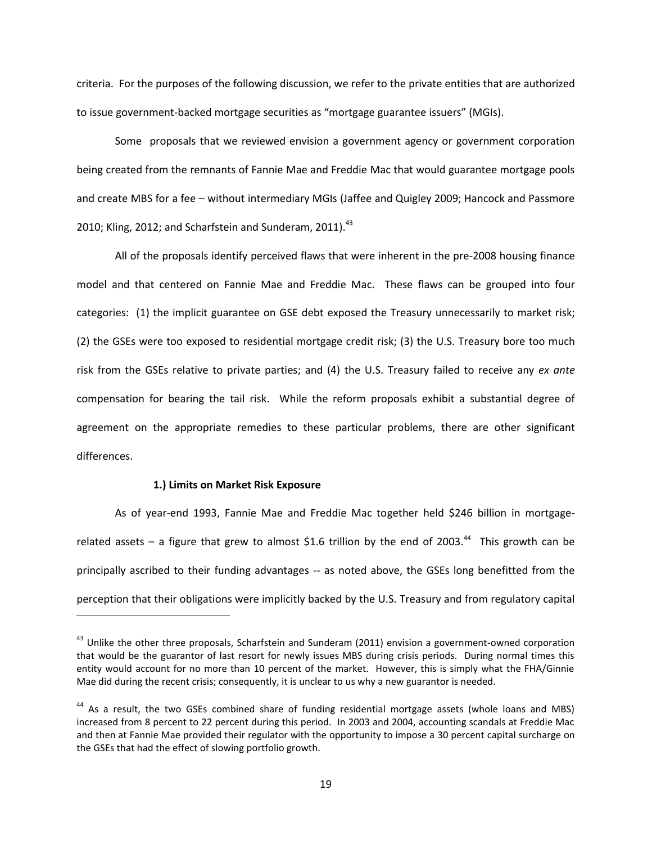criteria. For the purposes of the following discussion, we refer to the private entities that are authorized to issue government-backed mortgage securities as "mortgage guarantee issuers" (MGIs).

Some proposals that we reviewed envision a government agency or government corporation being created from the remnants of Fannie Mae and Freddie Mac that would guarantee mortgage pools and create MBS for a fee – without intermediary MGIs (Jaffee and Quigley 2009; Hancock and Passmore 2010; Kling, 2012; and Scharfstein and Sunderam, 2011). $^{43}$ 

All of the proposals identify perceived flaws that were inherent in the pre-2008 housing finance model and that centered on Fannie Mae and Freddie Mac. These flaws can be grouped into four categories: (1) the implicit guarantee on GSE debt exposed the Treasury unnecessarily to market risk; (2) the GSEs were too exposed to residential mortgage credit risk; (3) the U.S. Treasury bore too much risk from the GSEs relative to private parties; and (4) the U.S. Treasury failed to receive any *ex ante* compensation for bearing the tail risk. While the reform proposals exhibit a substantial degree of agreement on the appropriate remedies to these particular problems, there are other significant differences.

#### **1.) Limits on Market Risk Exposure**

 $\overline{\phantom{a}}$ 

As of year-end 1993, Fannie Mae and Freddie Mac together held \$246 billion in mortgagerelated assets – a figure that grew to almost \$1.6 trillion by the end of 2003.<sup>44</sup> This growth can be principally ascribed to their funding advantages -- as noted above, the GSEs long benefitted from the perception that their obligations were implicitly backed by the U.S. Treasury and from regulatory capital

<sup>&</sup>lt;sup>43</sup> Unlike the other three proposals, Scharfstein and Sunderam (2011) envision a government-owned corporation that would be the guarantor of last resort for newly issues MBS during crisis periods. During normal times this entity would account for no more than 10 percent of the market. However, this is simply what the FHA/Ginnie Mae did during the recent crisis; consequently, it is unclear to us why a new guarantor is needed.

<sup>&</sup>lt;sup>44</sup> As a result, the two GSEs combined share of funding residential mortgage assets (whole loans and MBS) increased from 8 percent to 22 percent during this period. In 2003 and 2004, accounting scandals at Freddie Mac and then at Fannie Mae provided their regulator with the opportunity to impose a 30 percent capital surcharge on the GSEs that had the effect of slowing portfolio growth.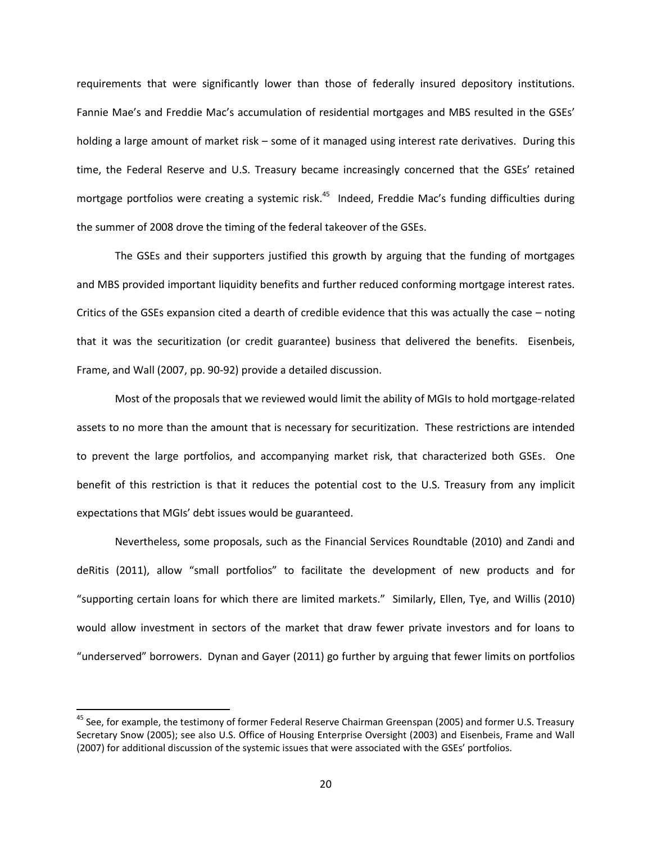requirements that were significantly lower than those of federally insured depository institutions. Fannie Mae's and Freddie Mac's accumulation of residential mortgages and MBS resulted in the GSEs' holding a large amount of market risk – some of it managed using interest rate derivatives. During this time, the Federal Reserve and U.S. Treasury became increasingly concerned that the GSEs' retained mortgage portfolios were creating a systemic risk.<sup>45</sup> Indeed, Freddie Mac's funding difficulties during the summer of 2008 drove the timing of the federal takeover of the GSEs.

The GSEs and their supporters justified this growth by arguing that the funding of mortgages and MBS provided important liquidity benefits and further reduced conforming mortgage interest rates. Critics of the GSEs expansion cited a dearth of credible evidence that this was actually the case – noting that it was the securitization (or credit guarantee) business that delivered the benefits. Eisenbeis, Frame, and Wall (2007, pp. 90-92) provide a detailed discussion.

Most of the proposals that we reviewed would limit the ability of MGIs to hold mortgage-related assets to no more than the amount that is necessary for securitization. These restrictions are intended to prevent the large portfolios, and accompanying market risk, that characterized both GSEs. One benefit of this restriction is that it reduces the potential cost to the U.S. Treasury from any implicit expectations that MGIs' debt issues would be guaranteed.

Nevertheless, some proposals, such as the Financial Services Roundtable (2010) and Zandi and deRitis (2011), allow "small portfolios" to facilitate the development of new products and for "supporting certain loans for which there are limited markets." Similarly, Ellen, Tye, and Willis (2010) would allow investment in sectors of the market that draw fewer private investors and for loans to "underserved" borrowers. Dynan and Gayer (2011) go further by arguing that fewer limits on portfolios

 $\overline{a}$ 

<sup>&</sup>lt;sup>45</sup> See, for example, the testimony of former Federal Reserve Chairman Greenspan (2005) and former U.S. Treasury Secretary Snow (2005); see also U.S. Office of Housing Enterprise Oversight (2003) and Eisenbeis, Frame and Wall (2007) for additional discussion of the systemic issues that were associated with the GSEs' portfolios.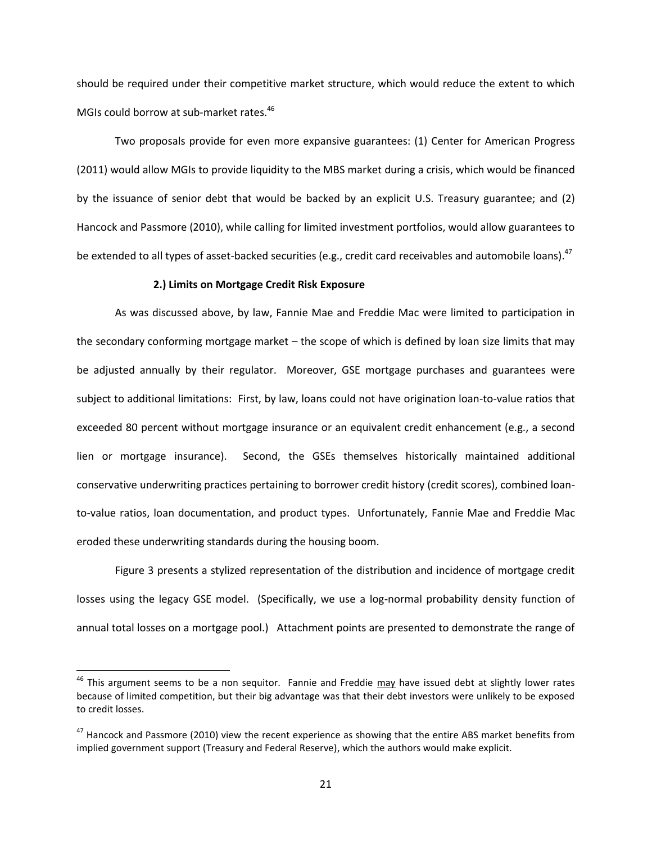should be required under their competitive market structure, which would reduce the extent to which MGIs could borrow at sub-market rates.<sup>46</sup>

Two proposals provide for even more expansive guarantees: (1) Center for American Progress (2011) would allow MGIs to provide liquidity to the MBS market during a crisis, which would be financed by the issuance of senior debt that would be backed by an explicit U.S. Treasury guarantee; and (2) Hancock and Passmore (2010), while calling for limited investment portfolios, would allow guarantees to be extended to all types of asset-backed securities (e.g., credit card receivables and automobile loans).<sup>47</sup>

#### **2.) Limits on Mortgage Credit Risk Exposure**

As was discussed above, by law, Fannie Mae and Freddie Mac were limited to participation in the secondary conforming mortgage market – the scope of which is defined by loan size limits that may be adjusted annually by their regulator. Moreover, GSE mortgage purchases and guarantees were subject to additional limitations: First, by law, loans could not have origination loan-to-value ratios that exceeded 80 percent without mortgage insurance or an equivalent credit enhancement (e.g., a second lien or mortgage insurance). Second, the GSEs themselves historically maintained additional conservative underwriting practices pertaining to borrower credit history (credit scores), combined loanto-value ratios, loan documentation, and product types. Unfortunately, Fannie Mae and Freddie Mac eroded these underwriting standards during the housing boom.

Figure 3 presents a stylized representation of the distribution and incidence of mortgage credit losses using the legacy GSE model. (Specifically, we use a log-normal probability density function of annual total losses on a mortgage pool.) Attachment points are presented to demonstrate the range of

<sup>&</sup>lt;sup>46</sup> This argument seems to be a non sequitor. Fannie and Freddie may have issued debt at slightly lower rates because of limited competition, but their big advantage was that their debt investors were unlikely to be exposed to credit losses.

 $47$  Hancock and Passmore (2010) view the recent experience as showing that the entire ABS market benefits from implied government support (Treasury and Federal Reserve), which the authors would make explicit.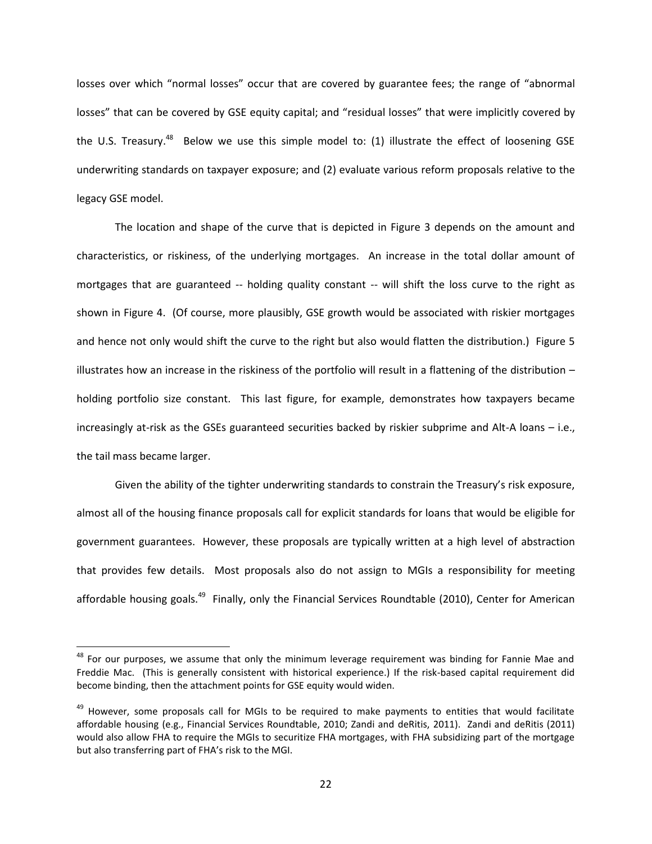losses over which "normal losses" occur that are covered by guarantee fees; the range of "abnormal losses" that can be covered by GSE equity capital; and "residual losses" that were implicitly covered by the U.S. Treasury.<sup>48</sup> Below we use this simple model to: (1) illustrate the effect of loosening GSE underwriting standards on taxpayer exposure; and (2) evaluate various reform proposals relative to the legacy GSE model.

The location and shape of the curve that is depicted in Figure 3 depends on the amount and characteristics, or riskiness, of the underlying mortgages. An increase in the total dollar amount of mortgages that are guaranteed -- holding quality constant -- will shift the loss curve to the right as shown in Figure 4. (Of course, more plausibly, GSE growth would be associated with riskier mortgages and hence not only would shift the curve to the right but also would flatten the distribution.) Figure 5 illustrates how an increase in the riskiness of the portfolio will result in a flattening of the distribution – holding portfolio size constant. This last figure, for example, demonstrates how taxpayers became increasingly at-risk as the GSEs guaranteed securities backed by riskier subprime and Alt-A loans – i.e., the tail mass became larger.

Given the ability of the tighter underwriting standards to constrain the Treasury's risk exposure, almost all of the housing finance proposals call for explicit standards for loans that would be eligible for government guarantees. However, these proposals are typically written at a high level of abstraction that provides few details. Most proposals also do not assign to MGIs a responsibility for meeting affordable housing goals.<sup>49</sup> Finally, only the Financial Services Roundtable (2010), Center for American

l

<sup>&</sup>lt;sup>48</sup> For our purposes, we assume that only the minimum leverage requirement was binding for Fannie Mae and Freddie Mac. (This is generally consistent with historical experience.) If the risk-based capital requirement did become binding, then the attachment points for GSE equity would widen.

<sup>&</sup>lt;sup>49</sup> However, some proposals call for MGIs to be required to make payments to entities that would facilitate affordable housing (e.g., Financial Services Roundtable, 2010; Zandi and deRitis, 2011). Zandi and deRitis (2011) would also allow FHA to require the MGIs to securitize FHA mortgages, with FHA subsidizing part of the mortgage but also transferring part of FHA's risk to the MGI.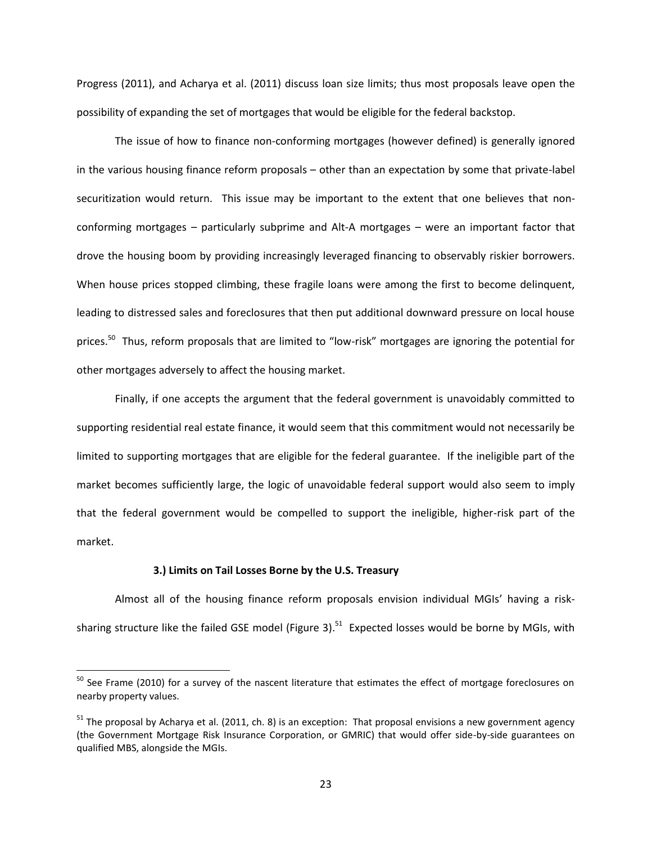Progress (2011), and Acharya et al. (2011) discuss loan size limits; thus most proposals leave open the possibility of expanding the set of mortgages that would be eligible for the federal backstop.

The issue of how to finance non-conforming mortgages (however defined) is generally ignored in the various housing finance reform proposals – other than an expectation by some that private-label securitization would return. This issue may be important to the extent that one believes that nonconforming mortgages – particularly subprime and Alt-A mortgages – were an important factor that drove the housing boom by providing increasingly leveraged financing to observably riskier borrowers. When house prices stopped climbing, these fragile loans were among the first to become delinquent, leading to distressed sales and foreclosures that then put additional downward pressure on local house prices.<sup>50</sup> Thus, reform proposals that are limited to "low-risk" mortgages are ignoring the potential for other mortgages adversely to affect the housing market.

Finally, if one accepts the argument that the federal government is unavoidably committed to supporting residential real estate finance, it would seem that this commitment would not necessarily be limited to supporting mortgages that are eligible for the federal guarantee. If the ineligible part of the market becomes sufficiently large, the logic of unavoidable federal support would also seem to imply that the federal government would be compelled to support the ineligible, higher-risk part of the market.

#### **3.) Limits on Tail Losses Borne by the U.S. Treasury**

 $\overline{\phantom{a}}$ 

Almost all of the housing finance reform proposals envision individual MGIs' having a risksharing structure like the failed GSE model (Figure 3).<sup>51</sup> Expected losses would be borne by MGIs, with

 $^{50}$  See Frame (2010) for a survey of the nascent literature that estimates the effect of mortgage foreclosures on nearby property values.

 $51$  The proposal by Acharya et al. (2011, ch. 8) is an exception: That proposal envisions a new government agency (the Government Mortgage Risk Insurance Corporation, or GMRIC) that would offer side-by-side guarantees on qualified MBS, alongside the MGIs.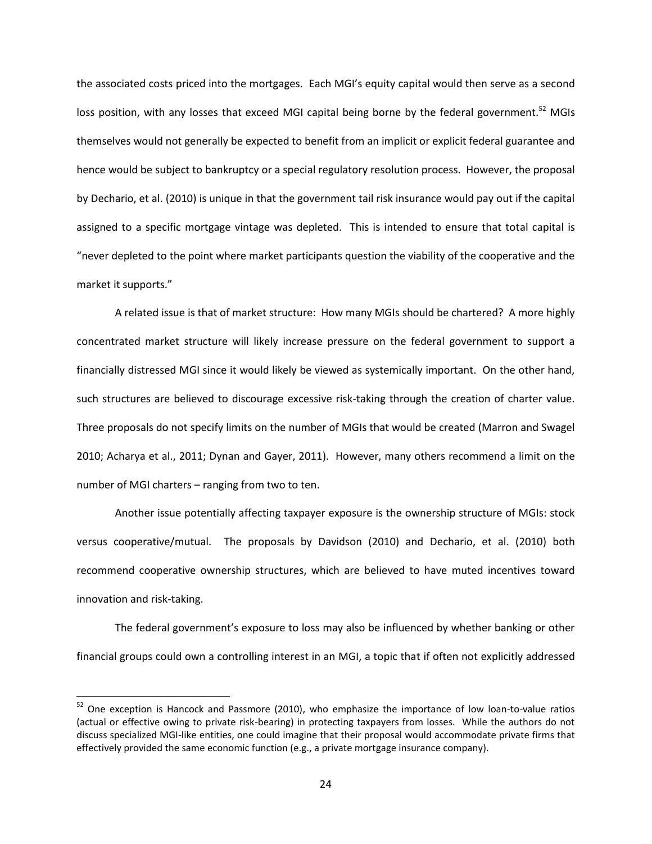the associated costs priced into the mortgages. Each MGI's equity capital would then serve as a second loss position, with any losses that exceed MGI capital being borne by the federal government.<sup>52</sup> MGIs themselves would not generally be expected to benefit from an implicit or explicit federal guarantee and hence would be subject to bankruptcy or a special regulatory resolution process. However, the proposal by Dechario, et al. (2010) is unique in that the government tail risk insurance would pay out if the capital assigned to a specific mortgage vintage was depleted. This is intended to ensure that total capital is "never depleted to the point where market participants question the viability of the cooperative and the market it supports."

A related issue is that of market structure: How many MGIs should be chartered? A more highly concentrated market structure will likely increase pressure on the federal government to support a financially distressed MGI since it would likely be viewed as systemically important. On the other hand, such structures are believed to discourage excessive risk-taking through the creation of charter value. Three proposals do not specify limits on the number of MGIs that would be created (Marron and Swagel 2010; Acharya et al., 2011; Dynan and Gayer, 2011). However, many others recommend a limit on the number of MGI charters – ranging from two to ten.

Another issue potentially affecting taxpayer exposure is the ownership structure of MGIs: stock versus cooperative/mutual. The proposals by Davidson (2010) and Dechario, et al. (2010) both recommend cooperative ownership structures, which are believed to have muted incentives toward innovation and risk-taking.

The federal government's exposure to loss may also be influenced by whether banking or other financial groups could own a controlling interest in an MGI, a topic that if often not explicitly addressed

l

<sup>&</sup>lt;sup>52</sup> One exception is Hancock and Passmore (2010), who emphasize the importance of low loan-to-value ratios (actual or effective owing to private risk-bearing) in protecting taxpayers from losses. While the authors do not discuss specialized MGI-like entities, one could imagine that their proposal would accommodate private firms that effectively provided the same economic function (e.g., a private mortgage insurance company).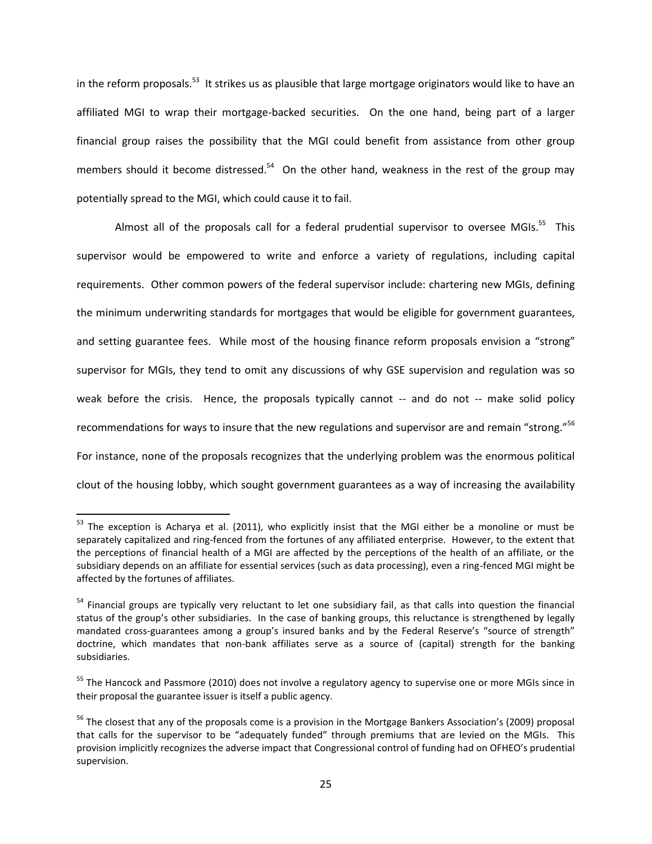in the reform proposals.<sup>53</sup> It strikes us as plausible that large mortgage originators would like to have an affiliated MGI to wrap their mortgage-backed securities. On the one hand, being part of a larger financial group raises the possibility that the MGI could benefit from assistance from other group members should it become distressed.<sup>54</sup> On the other hand, weakness in the rest of the group may potentially spread to the MGI, which could cause it to fail.

Almost all of the proposals call for a federal prudential supervisor to oversee MGIs.<sup>55</sup> This supervisor would be empowered to write and enforce a variety of regulations, including capital requirements. Other common powers of the federal supervisor include: chartering new MGIs, defining the minimum underwriting standards for mortgages that would be eligible for government guarantees, and setting guarantee fees. While most of the housing finance reform proposals envision a "strong" supervisor for MGIs, they tend to omit any discussions of why GSE supervision and regulation was so weak before the crisis. Hence, the proposals typically cannot -- and do not -- make solid policy recommendations for ways to insure that the new regulations and supervisor are and remain "strong."<sup>56</sup> For instance, none of the proposals recognizes that the underlying problem was the enormous political clout of the housing lobby, which sought government guarantees as a way of increasing the availability

<sup>&</sup>lt;sup>53</sup> The exception is Acharya et al. (2011), who explicitly insist that the MGI either be a monoline or must be separately capitalized and ring-fenced from the fortunes of any affiliated enterprise. However, to the extent that the perceptions of financial health of a MGI are affected by the perceptions of the health of an affiliate, or the subsidiary depends on an affiliate for essential services (such as data processing), even a ring-fenced MGI might be affected by the fortunes of affiliates.

<sup>&</sup>lt;sup>54</sup> Financial groups are typically very reluctant to let one subsidiary fail, as that calls into question the financial status of the group's other subsidiaries. In the case of banking groups, this reluctance is strengthened by legally mandated cross-guarantees among a group's insured banks and by the Federal Reserve's "source of strength" doctrine, which mandates that non-bank affiliates serve as a source of (capital) strength for the banking subsidiaries.

<sup>&</sup>lt;sup>55</sup> The Hancock and Passmore (2010) does not involve a regulatory agency to supervise one or more MGIs since in their proposal the guarantee issuer is itself a public agency.

<sup>&</sup>lt;sup>56</sup> The closest that any of the proposals come is a provision in the Mortgage Bankers Association's (2009) proposal that calls for the supervisor to be "adequately funded" through premiums that are levied on the MGIs. This provision implicitly recognizes the adverse impact that Congressional control of funding had on OFHEO's prudential supervision.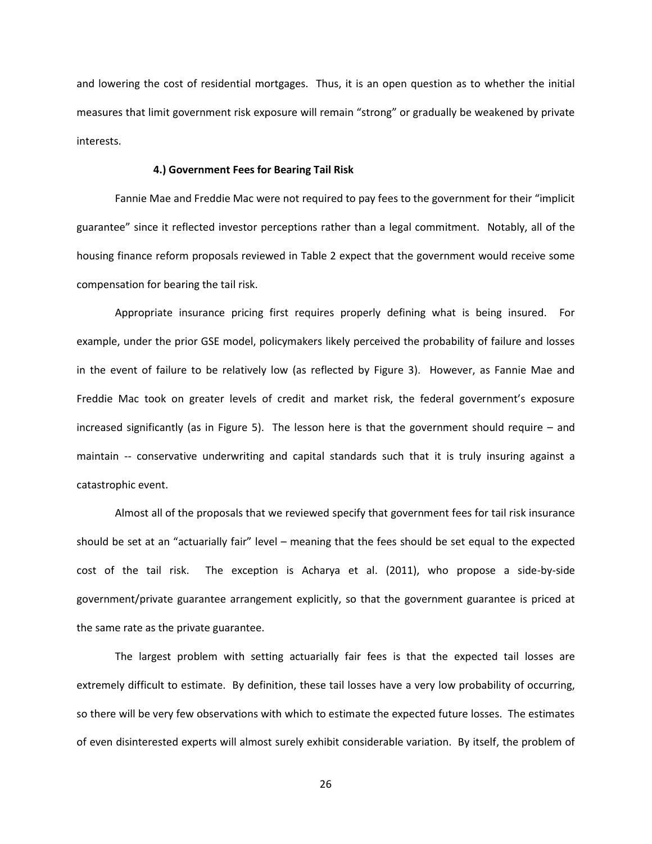and lowering the cost of residential mortgages. Thus, it is an open question as to whether the initial measures that limit government risk exposure will remain "strong" or gradually be weakened by private interests.

#### **4.) Government Fees for Bearing Tail Risk**

Fannie Mae and Freddie Mac were not required to pay fees to the government for their "implicit guarantee" since it reflected investor perceptions rather than a legal commitment. Notably, all of the housing finance reform proposals reviewed in Table 2 expect that the government would receive some compensation for bearing the tail risk.

Appropriate insurance pricing first requires properly defining what is being insured. For example, under the prior GSE model, policymakers likely perceived the probability of failure and losses in the event of failure to be relatively low (as reflected by Figure 3). However, as Fannie Mae and Freddie Mac took on greater levels of credit and market risk, the federal government's exposure increased significantly (as in Figure 5). The lesson here is that the government should require – and maintain -- conservative underwriting and capital standards such that it is truly insuring against a catastrophic event.

Almost all of the proposals that we reviewed specify that government fees for tail risk insurance should be set at an "actuarially fair" level – meaning that the fees should be set equal to the expected cost of the tail risk. The exception is Acharya et al. (2011), who propose a side-by-side government/private guarantee arrangement explicitly, so that the government guarantee is priced at the same rate as the private guarantee.

The largest problem with setting actuarially fair fees is that the expected tail losses are extremely difficult to estimate. By definition, these tail losses have a very low probability of occurring, so there will be very few observations with which to estimate the expected future losses. The estimates of even disinterested experts will almost surely exhibit considerable variation. By itself, the problem of

26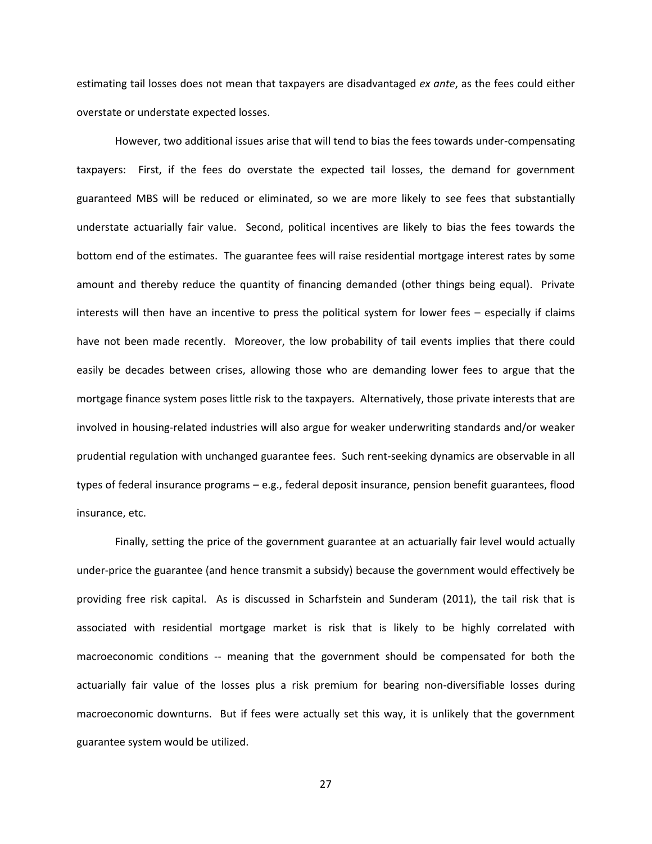estimating tail losses does not mean that taxpayers are disadvantaged *ex ante*, as the fees could either overstate or understate expected losses.

However, two additional issues arise that will tend to bias the fees towards under-compensating taxpayers: First, if the fees do overstate the expected tail losses, the demand for government guaranteed MBS will be reduced or eliminated, so we are more likely to see fees that substantially understate actuarially fair value. Second, political incentives are likely to bias the fees towards the bottom end of the estimates. The guarantee fees will raise residential mortgage interest rates by some amount and thereby reduce the quantity of financing demanded (other things being equal). Private interests will then have an incentive to press the political system for lower fees – especially if claims have not been made recently. Moreover, the low probability of tail events implies that there could easily be decades between crises, allowing those who are demanding lower fees to argue that the mortgage finance system poses little risk to the taxpayers. Alternatively, those private interests that are involved in housing-related industries will also argue for weaker underwriting standards and/or weaker prudential regulation with unchanged guarantee fees. Such rent-seeking dynamics are observable in all types of federal insurance programs – e.g., federal deposit insurance, pension benefit guarantees, flood insurance, etc.

Finally, setting the price of the government guarantee at an actuarially fair level would actually under-price the guarantee (and hence transmit a subsidy) because the government would effectively be providing free risk capital. As is discussed in Scharfstein and Sunderam (2011), the tail risk that is associated with residential mortgage market is risk that is likely to be highly correlated with macroeconomic conditions -- meaning that the government should be compensated for both the actuarially fair value of the losses plus a risk premium for bearing non-diversifiable losses during macroeconomic downturns. But if fees were actually set this way, it is unlikely that the government guarantee system would be utilized.

27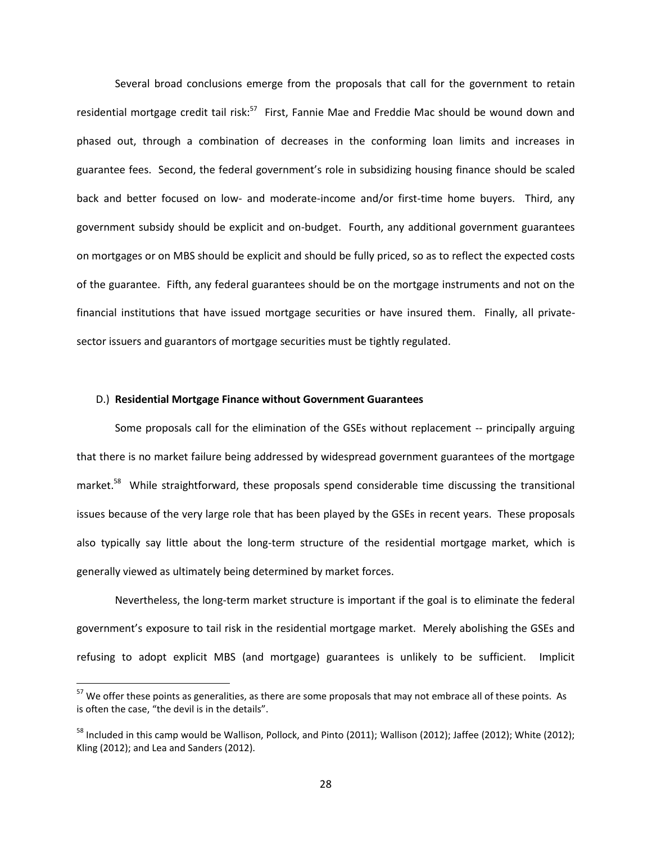Several broad conclusions emerge from the proposals that call for the government to retain residential mortgage credit tail risk:<sup>57</sup> First, Fannie Mae and Freddie Mac should be wound down and phased out, through a combination of decreases in the conforming loan limits and increases in guarantee fees. Second, the federal government's role in subsidizing housing finance should be scaled back and better focused on low- and moderate-income and/or first-time home buyers. Third, any government subsidy should be explicit and on-budget. Fourth, any additional government guarantees on mortgages or on MBS should be explicit and should be fully priced, so as to reflect the expected costs of the guarantee. Fifth, any federal guarantees should be on the mortgage instruments and not on the financial institutions that have issued mortgage securities or have insured them. Finally, all privatesector issuers and guarantors of mortgage securities must be tightly regulated.

#### D.) **Residential Mortgage Finance without Government Guarantees**

 $\overline{a}$ 

Some proposals call for the elimination of the GSEs without replacement -- principally arguing that there is no market failure being addressed by widespread government guarantees of the mortgage market.<sup>58</sup> While straightforward, these proposals spend considerable time discussing the transitional issues because of the very large role that has been played by the GSEs in recent years. These proposals also typically say little about the long-term structure of the residential mortgage market, which is generally viewed as ultimately being determined by market forces.

Nevertheless, the long-term market structure is important if the goal is to eliminate the federal government's exposure to tail risk in the residential mortgage market. Merely abolishing the GSEs and refusing to adopt explicit MBS (and mortgage) guarantees is unlikely to be sufficient. Implicit

<sup>&</sup>lt;sup>57</sup> We offer these points as generalities, as there are some proposals that may not embrace all of these points. As is often the case, "the devil is in the details".

<sup>&</sup>lt;sup>58</sup> Included in this camp would be Wallison, Pollock, and Pinto (2011); Wallison (2012); Jaffee (2012); White (2012); Kling (2012); and Lea and Sanders (2012).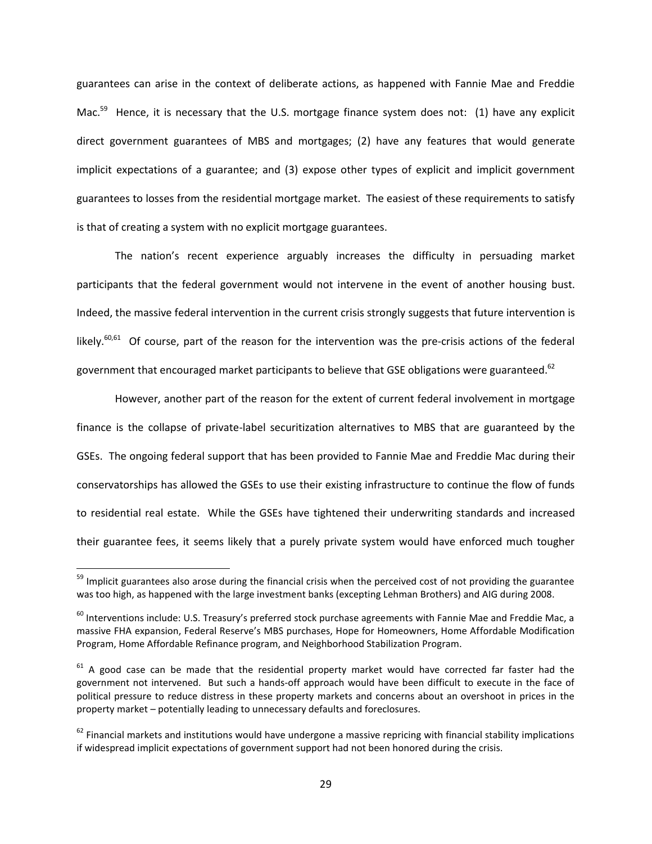guarantees can arise in the context of deliberate actions, as happened with Fannie Mae and Freddie Mac.<sup>59</sup> Hence, it is necessary that the U.S. mortgage finance system does not: (1) have any explicit direct government guarantees of MBS and mortgages; (2) have any features that would generate implicit expectations of a guarantee; and (3) expose other types of explicit and implicit government guarantees to losses from the residential mortgage market. The easiest of these requirements to satisfy is that of creating a system with no explicit mortgage guarantees.

The nation's recent experience arguably increases the difficulty in persuading market participants that the federal government would not intervene in the event of another housing bust. Indeed, the massive federal intervention in the current crisis strongly suggests that future intervention is likely.<sup>60,61</sup> Of course, part of the reason for the intervention was the pre-crisis actions of the federal government that encouraged market participants to believe that GSE obligations were guaranteed.<sup>62</sup>

However, another part of the reason for the extent of current federal involvement in mortgage finance is the collapse of private-label securitization alternatives to MBS that are guaranteed by the GSEs. The ongoing federal support that has been provided to Fannie Mae and Freddie Mac during their conservatorships has allowed the GSEs to use their existing infrastructure to continue the flow of funds to residential real estate. While the GSEs have tightened their underwriting standards and increased their guarantee fees, it seems likely that a purely private system would have enforced much tougher

<sup>&</sup>lt;sup>59</sup> Implicit guarantees also arose during the financial crisis when the perceived cost of not providing the guarantee was too high, as happened with the large investment banks (excepting Lehman Brothers) and AIG during 2008.

 $60$  Interventions include: U.S. Treasury's preferred stock purchase agreements with Fannie Mae and Freddie Mac, a massive FHA expansion, Federal Reserve's MBS purchases, Hope for Homeowners, Home Affordable Modification Program, Home Affordable Refinance program, and Neighborhood Stabilization Program.

 $61$  A good case can be made that the residential property market would have corrected far faster had the government not intervened. But such a hands-off approach would have been difficult to execute in the face of political pressure to reduce distress in these property markets and concerns about an overshoot in prices in the property market – potentially leading to unnecessary defaults and foreclosures.

 $62$  Financial markets and institutions would have undergone a massive repricing with financial stability implications if widespread implicit expectations of government support had not been honored during the crisis.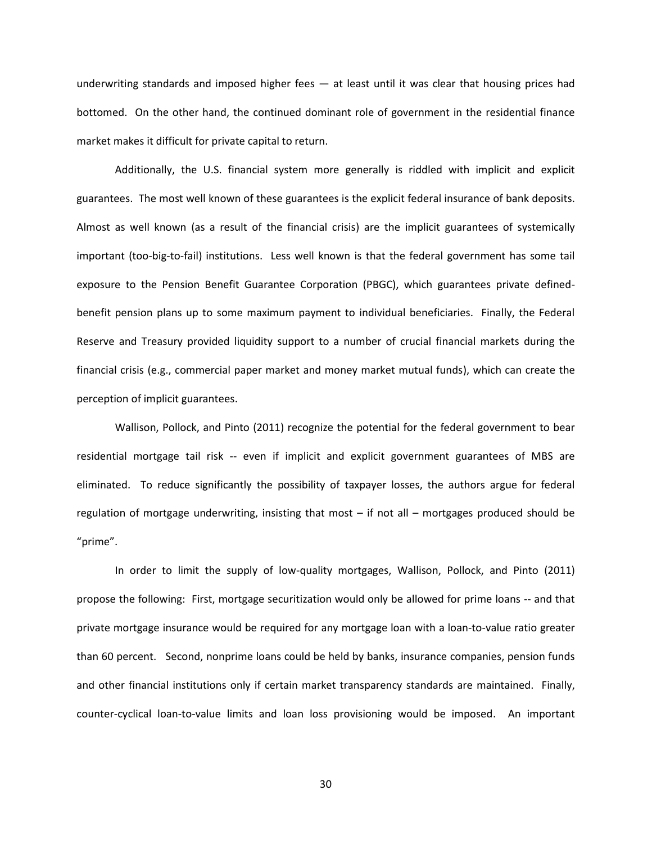underwriting standards and imposed higher fees — at least until it was clear that housing prices had bottomed. On the other hand, the continued dominant role of government in the residential finance market makes it difficult for private capital to return.

Additionally, the U.S. financial system more generally is riddled with implicit and explicit guarantees. The most well known of these guarantees is the explicit federal insurance of bank deposits. Almost as well known (as a result of the financial crisis) are the implicit guarantees of systemically important (too-big-to-fail) institutions. Less well known is that the federal government has some tail exposure to the Pension Benefit Guarantee Corporation (PBGC), which guarantees private definedbenefit pension plans up to some maximum payment to individual beneficiaries. Finally, the Federal Reserve and Treasury provided liquidity support to a number of crucial financial markets during the financial crisis (e.g., commercial paper market and money market mutual funds), which can create the perception of implicit guarantees.

Wallison, Pollock, and Pinto (2011) recognize the potential for the federal government to bear residential mortgage tail risk -- even if implicit and explicit government guarantees of MBS are eliminated. To reduce significantly the possibility of taxpayer losses, the authors argue for federal regulation of mortgage underwriting, insisting that most – if not all – mortgages produced should be "prime".

In order to limit the supply of low-quality mortgages, Wallison, Pollock, and Pinto (2011) propose the following: First, mortgage securitization would only be allowed for prime loans -- and that private mortgage insurance would be required for any mortgage loan with a loan-to-value ratio greater than 60 percent. Second, nonprime loans could be held by banks, insurance companies, pension funds and other financial institutions only if certain market transparency standards are maintained. Finally, counter-cyclical loan-to-value limits and loan loss provisioning would be imposed. An important

30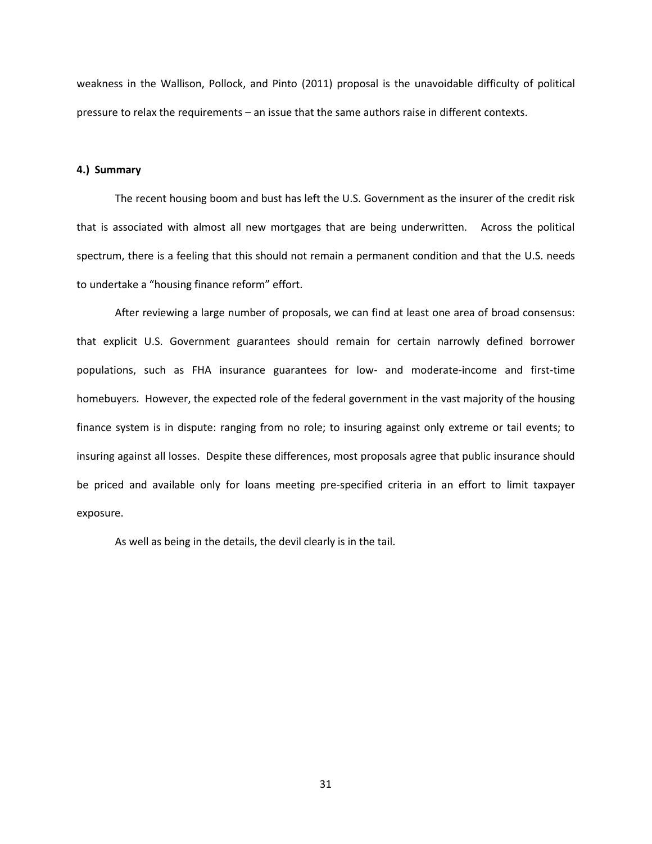weakness in the Wallison, Pollock, and Pinto (2011) proposal is the unavoidable difficulty of political pressure to relax the requirements – an issue that the same authors raise in different contexts.

#### **4.) Summary**

The recent housing boom and bust has left the U.S. Government as the insurer of the credit risk that is associated with almost all new mortgages that are being underwritten. Across the political spectrum, there is a feeling that this should not remain a permanent condition and that the U.S. needs to undertake a "housing finance reform" effort.

After reviewing a large number of proposals, we can find at least one area of broad consensus: that explicit U.S. Government guarantees should remain for certain narrowly defined borrower populations, such as FHA insurance guarantees for low- and moderate-income and first-time homebuyers. However, the expected role of the federal government in the vast majority of the housing finance system is in dispute: ranging from no role; to insuring against only extreme or tail events; to insuring against all losses. Despite these differences, most proposals agree that public insurance should be priced and available only for loans meeting pre-specified criteria in an effort to limit taxpayer exposure.

As well as being in the details, the devil clearly is in the tail.

31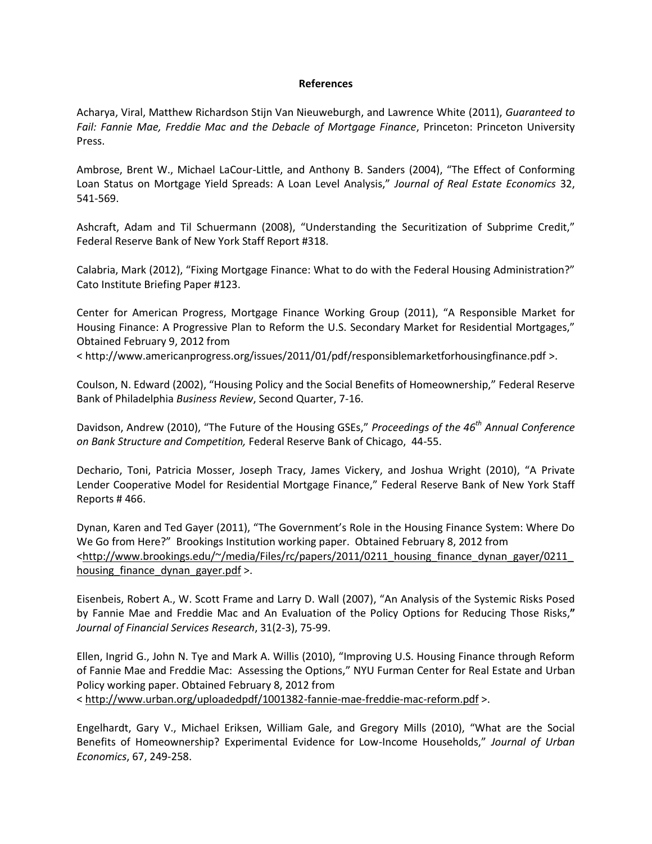#### **References**

Acharya, Viral, Matthew Richardson Stijn Van Nieuweburgh, and Lawrence White (2011), *Guaranteed to Fail: Fannie Mae, Freddie Mac and the Debacle of Mortgage Finance*, Princeton: Princeton University Press.

Ambrose, Brent W., Michael LaCour-Little, and Anthony B. Sanders (2004), "The Effect of Conforming Loan Status on Mortgage Yield Spreads: A Loan Level Analysis," *Journal of Real Estate Economics* 32, 541-569.

Ashcraft, Adam and Til Schuermann (2008), "Understanding the Securitization of Subprime Credit," Federal Reserve Bank of New York Staff Report #318.

Calabria, Mark (2012), "Fixing Mortgage Finance: What to do with the Federal Housing Administration?" Cato Institute Briefing Paper #123.

Center for American Progress, Mortgage Finance Working Group (2011), "A Responsible Market for Housing Finance: A Progressive Plan to Reform the U.S. Secondary Market for Residential Mortgages," Obtained February 9, 2012 from

<<http://www.americanprogress.org/issues/2011/01/pdf/responsiblemarketforhousingfinance.pdf> >.

Coulson, N. Edward (2002), "Housing Policy and the Social Benefits of Homeownership," Federal Reserve Bank of Philadelphia *Business Review*, Second Quarter, 7-16.

Davidson, Andrew (2010), "The Future of the Housing GSEs," *Proceedings of the 46th Annual Conference on Bank Structure and Competition,* Federal Reserve Bank of Chicago, 44-55.

Dechario, Toni, Patricia Mosser, Joseph Tracy, James Vickery, and Joshua Wright (2010), "A Private Lender Cooperative Model for Residential Mortgage Finance," Federal Reserve Bank of New York Staff Reports # 466.

Dynan, Karen and Ted Gayer (2011), "The Government's Role in the Housing Finance System: Where Do We Go from Here?" Brookings Institution working paper. Obtained February 8, 2012 from [<http://www.brookings.edu/~/media/Files/rc/papers/2011/0211\\_housing\\_finance\\_dynan\\_gayer/0211\\_](http://www.brookings.edu/~/media/Files/rc/papers/2011/0211_housing_finance_dynan_gayer/0211_housing_finance_dynan_gayer.pdf) housing finance dynan gayer.pdf >.

Eisenbeis, Robert A., W. Scott Frame and Larry D. Wall (2007), "An Analysis of the Systemic Risks Posed by Fannie Mae and Freddie Mac and An Evaluation of the Policy Options for Reducing Those Risks,**"**  *Journal of Financial Services Research*, 31(2-3), 75-99.

Ellen, Ingrid G., John N. Tye and Mark A. Willis (2010), "Improving U.S. Housing Finance through Reform of Fannie Mae and Freddie Mac: Assessing the Options," NYU Furman Center for Real Estate and Urban Policy working paper. Obtained February 8, 2012 from <<http://www.urban.org/uploadedpdf/1001382-fannie-mae-freddie-mac-reform.pdf> >.

Engelhardt, Gary V., Michael Eriksen, William Gale, and Gregory Mills (2010), "What are the Social Benefits of Homeownership? Experimental Evidence for Low-Income Households," *Journal of Urban Economics*, 67, 249-258.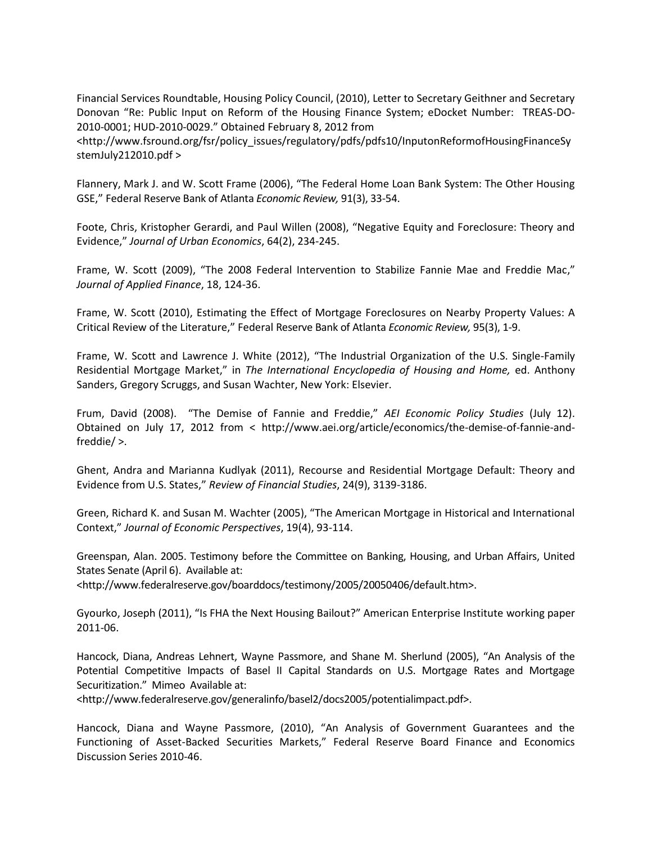Financial Services Roundtable, Housing Policy Council, (2010), Letter to Secretary Geithner and Secretary Donovan "Re: Public Input on Reform of the Housing Finance System; eDocket Number: TREAS-DO-2010-0001; HUD-2010-0029." Obtained February 8, 2012 from

[<http://www.fsround.org/fsr/policy\\_issues/regulatory/pdfs/pdfs10/InputonReformofHousingFinanceSy](http://www.fsround.org/fsr/policy_issues/regulatory/pdfs/pdfs10/InputonReformofHousingFinanceSystemJuly212010.pdf) [stemJuly212010.pdf](http://www.fsround.org/fsr/policy_issues/regulatory/pdfs/pdfs10/InputonReformofHousingFinanceSystemJuly212010.pdf) >

Flannery, Mark J. and W. Scott Frame (2006), "The Federal Home Loan Bank System: The Other Housing GSE," Federal Reserve Bank of Atlanta *Economic Review,* 91(3), 33-54.

Foote, Chris, Kristopher Gerardi, and Paul Willen (2008), "Negative Equity and Foreclosure: Theory and Evidence," *Journal of Urban Economics*, 64(2), 234-245.

Frame, W. Scott (2009), "The 2008 Federal Intervention to Stabilize Fannie Mae and Freddie Mac," *Journal of Applied Finance*, 18, 124-36.

Frame, W. Scott (2010), Estimating the Effect of Mortgage Foreclosures on Nearby Property Values: A Critical Review of the Literature," Federal Reserve Bank of Atlanta *Economic Review,* 95(3), 1-9.

Frame, W. Scott and Lawrence J. White (2012), "The Industrial Organization of the U.S. Single-Family Residential Mortgage Market," in *The International Encyclopedia of Housing and Home,* ed. Anthony Sanders, Gregory Scruggs, and Susan Wachter, New York: Elsevier.

Frum, David (2008). "The Demise of Fannie and Freddie," *AEI Economic Policy Studies* (July 12). Obtained on July 17, 2012 from < http://www.aei.org/article/economics/the-demise-of-fannie-andfreddie/ >.

Ghent, Andra and Marianna Kudlyak (2011), Recourse and Residential Mortgage Default: Theory and Evidence from U.S. States," *Review of Financial Studies*, 24(9), 3139-3186.

Green, Richard K. and Susan M. Wachter (2005), "The American Mortgage in Historical and International Context," *Journal of Economic Perspectives*, 19(4), 93-114.

Greenspan, Alan. 2005. Testimony before the Committee on Banking, Housing, and Urban Affairs, United States Senate (April 6). Available at:

<http://www.federalreserve.gov/boarddocs/testimony/2005/20050406/default.htm>.

Gyourko, Joseph (2011), "Is FHA the Next Housing Bailout?" American Enterprise Institute working paper 2011-06.

Hancock, Diana, Andreas Lehnert, Wayne Passmore, and Shane M. Sherlund (2005), "An Analysis of the Potential Competitive Impacts of Basel II Capital Standards on U.S. Mortgage Rates and Mortgage Securitization." Mimeo Available at:

<http://www.federalreserve.gov/generalinfo/basel2/docs2005/potentialimpact.pdf>.

Hancock, Diana and Wayne Passmore, (2010), "An Analysis of Government Guarantees and the Functioning of Asset-Backed Securities Markets," Federal Reserve Board Finance and Economics Discussion Series 2010-46.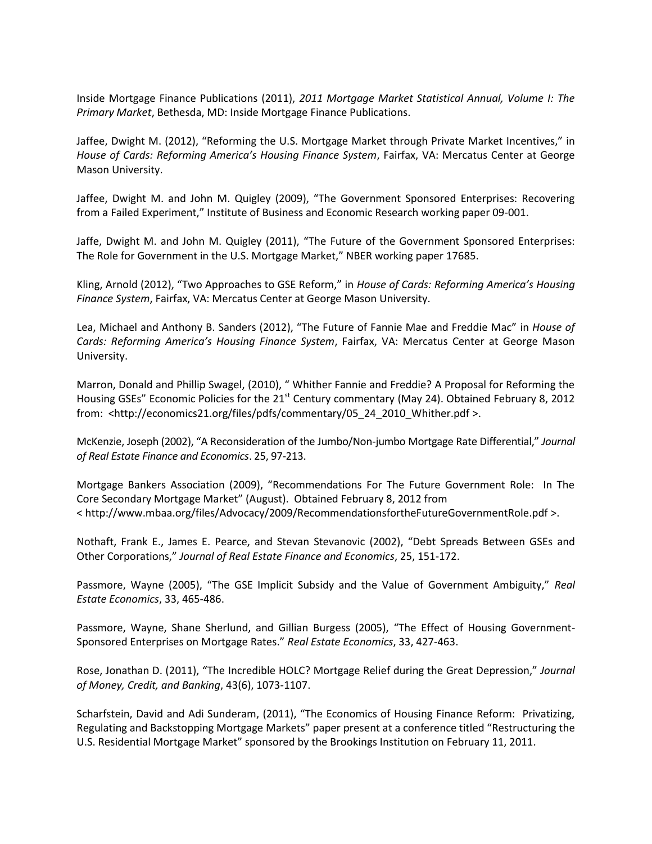Inside Mortgage Finance Publications (2011), *2011 Mortgage Market Statistical Annual, Volume I: The Primary Market*, Bethesda, MD: Inside Mortgage Finance Publications.

Jaffee, Dwight M. (2012), "Reforming the U.S. Mortgage Market through Private Market Incentives," in *House of Cards: Reforming America's Housing Finance System*, Fairfax, VA: Mercatus Center at George Mason University.

Jaffee, Dwight M. and John M. Quigley (2009), "The Government Sponsored Enterprises: Recovering from a Failed Experiment," Institute of Business and Economic Research working paper 09-001.

Jaffe, Dwight M. and John M. Quigley (2011), "The Future of the Government Sponsored Enterprises: The Role for Government in the U.S. Mortgage Market," NBER working paper 17685.

Kling, Arnold (2012), "Two Approaches to GSE Reform," in *House of Cards: Reforming America's Housing Finance System*, Fairfax, VA: Mercatus Center at George Mason University.

Lea, Michael and Anthony B. Sanders (2012), "The Future of Fannie Mae and Freddie Mac" in *House of Cards: Reforming America's Housing Finance System*, Fairfax, VA: Mercatus Center at George Mason University.

Marron, Donald and Phillip Swagel, (2010), " Whither Fannie and Freddie? A Proposal for Reforming the Housing GSEs" Economic Policies for the 21<sup>st</sup> Century commentary (May 24). Obtained February 8, 2012 from: [<http://economics21.org/files/pdfs/commentary/05\\_24\\_2010\\_Whither.pdf](http://economics21.org/files/pdfs/commentary/05_24_2010_Whither.pdf) >.

McKenzie, Joseph (2002), "A Reconsideration of the Jumbo/Non-jumbo Mortgage Rate Differential," *Journal of Real Estate Finance and Economics*. 25, 97-213.

Mortgage Bankers Association (2009), "Recommendations For The Future Government Role: In The Core Secondary Mortgage Market" (August). Obtained February 8, 2012 from <<http://www.mbaa.org/files/Advocacy/2009/RecommendationsfortheFutureGovernmentRole.pdf> >.

Nothaft, Frank E., James E. Pearce, and Stevan Stevanovic (2002), "Debt Spreads Between GSEs and Other Corporations," *Journal of Real Estate Finance and Economics*, 25, 151-172.

Passmore, Wayne (2005), "The GSE Implicit Subsidy and the Value of Government Ambiguity," *Real Estate Economics*, 33, 465-486.

Passmore, Wayne, Shane Sherlund, and Gillian Burgess (2005), "The Effect of Housing Government-Sponsored Enterprises on Mortgage Rates." *Real Estate Economics*, 33, 427-463.

Rose, Jonathan D. (2011), "The Incredible HOLC? Mortgage Relief during the Great Depression," *Journal of Money, Credit, and Banking*, 43(6), 1073-1107.

Scharfstein, David and Adi Sunderam, (2011), "The Economics of Housing Finance Reform: Privatizing, Regulating and Backstopping Mortgage Markets" paper present at a conference titled "Restructuring the U.S. Residential Mortgage Market" sponsored by the Brookings Institution on February 11, 2011.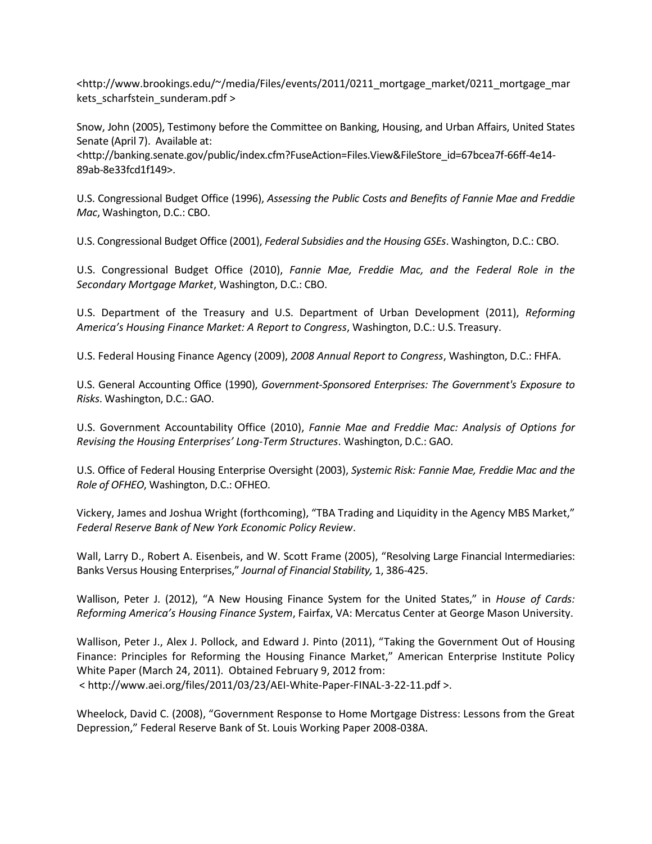[<http://www.brookings.edu/~/media/Files/events/2011/0211\\_mortgage\\_market/0211\\_mortgage\\_mar](http://www.brookings.edu/~/media/Files/events/2011/0211_mortgage_market/0211_mortgage_markets_scharfstein_sunderam.pdf) kets scharfstein sunderam.pdf >

Snow, John (2005), Testimony before the Committee on Banking, Housing, and Urban Affairs, United States Senate (April 7). Available at:

<http://banking.senate.gov/public/index.cfm?FuseAction=Files.View&FileStore\_id=67bcea7f-66ff-4e14- 89ab-8e33fcd1f149>.

U.S. Congressional Budget Office (1996), *Assessing the Public Costs and Benefits of Fannie Mae and Freddie Mac*, Washington, D.C.: CBO.

U.S. Congressional Budget Office (2001), *Federal Subsidies and the Housing GSEs*. Washington, D.C.: CBO.

U.S. Congressional Budget Office (2010), *Fannie Mae, Freddie Mac, and the Federal Role in the Secondary Mortgage Market*, Washington, D.C.: CBO.

U.S. Department of the Treasury and U.S. Department of Urban Development (2011), *Reforming America's Housing Finance Market: A Report to Congress*, Washington, D.C.: U.S. Treasury.

U.S. Federal Housing Finance Agency (2009), *2008 Annual Report to Congress*, Washington, D.C.: FHFA.

U.S. General Accounting Office (1990), *Government-Sponsored Enterprises: The Government's Exposure to Risks*. Washington, D.C.: GAO.

U.S. Government Accountability Office (2010), *Fannie Mae and Freddie Mac: Analysis of Options for Revising the Housing Enterprises' Long-Term Structures*. Washington, D.C.: GAO.

U.S. Office of Federal Housing Enterprise Oversight (2003), *Systemic Risk: Fannie Mae, Freddie Mac and the Role of OFHEO*, Washington, D.C.: OFHEO.

Vickery, James and Joshua Wright (forthcoming), "TBA Trading and Liquidity in the Agency MBS Market," *Federal Reserve Bank of New York Economic Policy Review*.

Wall, Larry D., Robert A. Eisenbeis, and W. Scott Frame (2005), "Resolving Large Financial Intermediaries: Banks Versus Housing Enterprises," *Journal of Financial Stability,* 1, 386-425.

Wallison, Peter J. (2012), "A New Housing Finance System for the United States," in *House of Cards: Reforming America's Housing Finance System*, Fairfax, VA: Mercatus Center at George Mason University.

Wallison, Peter J., Alex J. Pollock, and Edward J. Pinto (2011), "Taking the Government Out of Housing Finance: Principles for Reforming the Housing Finance Market," American Enterprise Institute Policy White Paper (March 24, 2011). Obtained February 9, 2012 from: [< http://www.aei.org/files/2011/03/23/AEI-White-Paper-FINAL-3-22-11.pdf](http://www.aei.org/files/2011/03/23/AEI-White-Paper-FINAL-3-22-11.pdf) >.

Wheelock, David C. (2008), "Government Response to Home Mortgage Distress: Lessons from the Great Depression," Federal Reserve Bank of St. Louis Working Paper 2008-038A.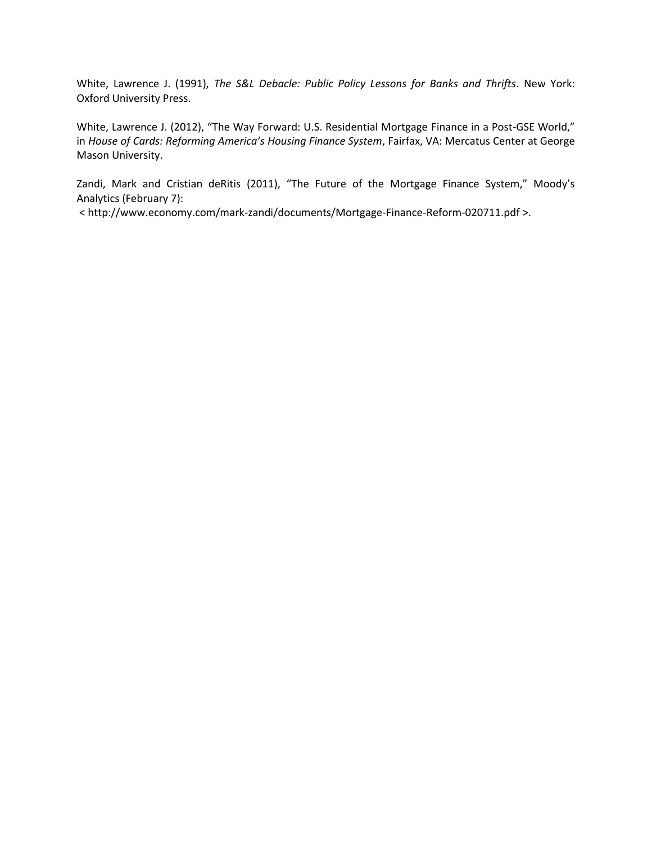White, Lawrence J. (1991), *The S&L Debacle: Public Policy Lessons for Banks and Thrifts*. New York: Oxford University Press.

White, Lawrence J. (2012), "The Way Forward: U.S. Residential Mortgage Finance in a Post-GSE World," in *House of Cards: Reforming America's Housing Finance System*, Fairfax, VA: Mercatus Center at George Mason University.

Zandi, Mark and Cristian deRitis (2011), "The Future of the Mortgage Finance System," Moody's Analytics (February 7):

[< http://www.economy.com/mark-zandi/documents/Mortgage-Finance-Reform-020711.pdf](http://www.economy.com/mark-zandi/documents/Mortgage-Finance-Reform-020711.pdf) >.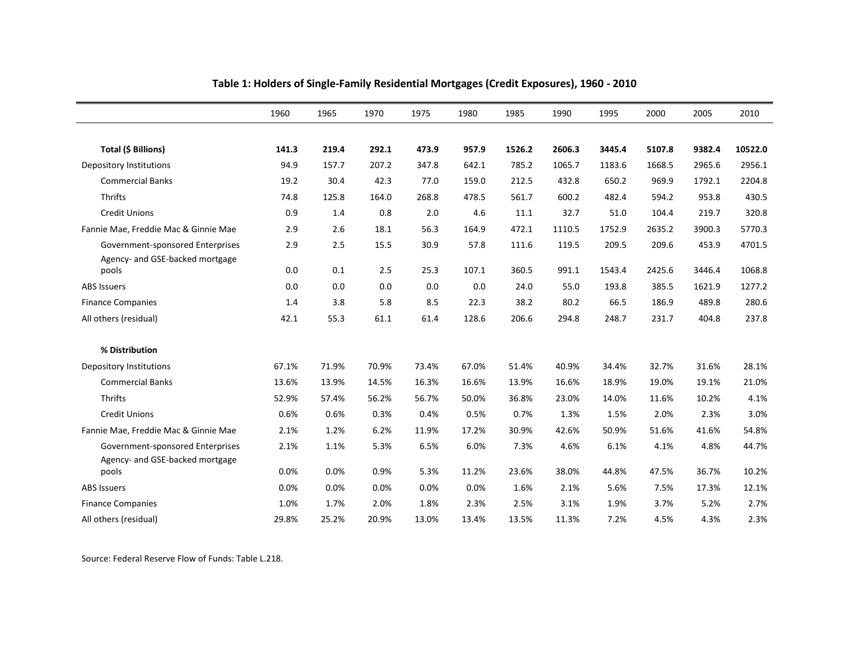|                                                                     | 1960  | 1965  | 1970  | 1975  | 1980  | 1985   | 1990   | 1995   | 2000   | 2005   | 2010    |
|---------------------------------------------------------------------|-------|-------|-------|-------|-------|--------|--------|--------|--------|--------|---------|
|                                                                     |       |       |       |       |       |        |        |        |        |        |         |
| Total (\$ Billions)                                                 | 141.3 | 219.4 | 292.1 | 473.9 | 957.9 | 1526.2 | 2606.3 | 3445.4 | 5107.8 | 9382.4 | 10522.0 |
| Depository Institutions                                             | 94.9  | 157.7 | 207.2 | 347.8 | 642.1 | 785.2  | 1065.7 | 1183.6 | 1668.5 | 2965.6 | 2956.1  |
| <b>Commercial Banks</b>                                             | 19.2  | 30.4  | 42.3  | 77.0  | 159.0 | 212.5  | 432.8  | 650.2  | 969.9  | 1792.1 | 2204.8  |
| <b>Thrifts</b>                                                      | 74.8  | 125.8 | 164.0 | 268.8 | 478.5 | 561.7  | 600.2  | 482.4  | 594.2  | 953.8  | 430.5   |
| <b>Credit Unions</b>                                                | 0.9   | 1.4   | 0.8   | 2.0   | 4.6   | 11.1   | 32.7   | 51.0   | 104.4  | 219.7  | 320.8   |
| Fannie Mae, Freddie Mac & Ginnie Mae                                | 2.9   | 2.6   | 18.1  | 56.3  | 164.9 | 472.1  | 1110.5 | 1752.9 | 2635.2 | 3900.3 | 5770.3  |
| Government-sponsored Enterprises                                    | 2.9   | 2.5   | 15.5  | 30.9  | 57.8  | 111.6  | 119.5  | 209.5  | 209.6  | 453.9  | 4701.5  |
| Agency- and GSE-backed mortgage                                     |       |       |       |       |       |        |        |        |        |        |         |
| pools                                                               | 0.0   | 0.1   | 2.5   | 25.3  | 107.1 | 360.5  | 991.1  | 1543.4 | 2425.6 | 3446.4 | 1068.8  |
| <b>ABS Issuers</b>                                                  | 0.0   | 0.0   | 0.0   | 0.0   | 0.0   | 24.0   | 55.0   | 193.8  | 385.5  | 1621.9 | 1277.2  |
| <b>Finance Companies</b>                                            | 1.4   | 3.8   | 5.8   | 8.5   | 22.3  | 38.2   | 80.2   | 66.5   | 186.9  | 489.8  | 280.6   |
| All others (residual)                                               | 42.1  | 55.3  | 61.1  | 61.4  | 128.6 | 206.6  | 294.8  | 248.7  | 231.7  | 404.8  | 237.8   |
| % Distribution                                                      |       |       |       |       |       |        |        |        |        |        |         |
| <b>Depository Institutions</b>                                      | 67.1% | 71.9% | 70.9% | 73.4% | 67.0% | 51.4%  | 40.9%  | 34.4%  | 32.7%  | 31.6%  | 28.1%   |
| <b>Commercial Banks</b>                                             | 13.6% | 13.9% | 14.5% | 16.3% | 16.6% | 13.9%  | 16.6%  | 18.9%  | 19.0%  | 19.1%  | 21.0%   |
| Thrifts                                                             | 52.9% | 57.4% | 56.2% | 56.7% | 50.0% | 36.8%  | 23.0%  | 14.0%  | 11.6%  | 10.2%  | 4.1%    |
| <b>Credit Unions</b>                                                | 0.6%  | 0.6%  | 0.3%  | 0.4%  | 0.5%  | 0.7%   | 1.3%   | 1.5%   | 2.0%   | 2.3%   | 3.0%    |
| Fannie Mae, Freddie Mac & Ginnie Mae                                | 2.1%  | 1.2%  | 6.2%  | 11.9% | 17.2% | 30.9%  | 42.6%  | 50.9%  | 51.6%  | 41.6%  | 54.8%   |
| Government-sponsored Enterprises<br>Agency- and GSE-backed mortgage | 2.1%  | 1.1%  | 5.3%  | 6.5%  | 6.0%  | 7.3%   | 4.6%   | 6.1%   | 4.1%   | 4.8%   | 44.7%   |
| pools                                                               | 0.0%  | 0.0%  | 0.9%  | 5.3%  | 11.2% | 23.6%  | 38.0%  | 44.8%  | 47.5%  | 36.7%  | 10.2%   |
| <b>ABS Issuers</b>                                                  | 0.0%  | 0.0%  | 0.0%  | 0.0%  | 0.0%  | 1.6%   | 2.1%   | 5.6%   | 7.5%   | 17.3%  | 12.1%   |
| <b>Finance Companies</b>                                            | 1.0%  | 1.7%  | 2.0%  | 1.8%  | 2.3%  | 2.5%   | 3.1%   | 1.9%   | 3.7%   | 5.2%   | 2.7%    |
| All others (residual)                                               | 29.8% | 25.2% | 20.9% | 13.0% | 13.4% | 13.5%  | 11.3%  | 7.2%   | 4.5%   | 4.3%   | 2.3%    |

**Table 1: Holders of Single-Family Residential Mortgages (Credit Exposures), 1960 - 2010**

Source: Federal Reserve Flow of Funds: Table L.218.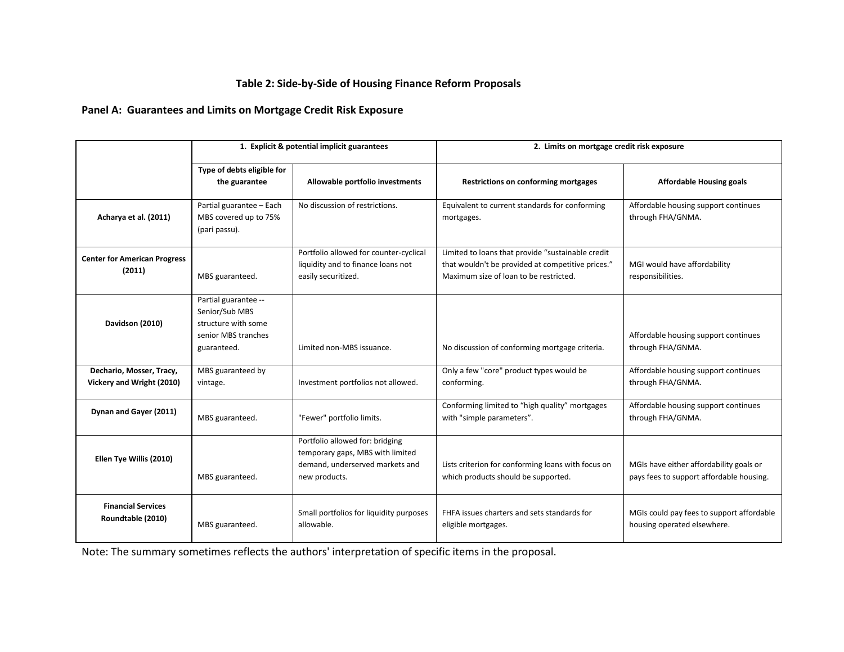## **Table 2: Side-by-Side of Housing Finance Reform Proposals**

## **Panel A: Guarantees and Limits on Mortgage Credit Risk Exposure**

|                                                       | 1. Explicit & potential implicit guarantees                                                         |                                                                                                                         | 2. Limits on mortgage credit risk exposure                                                                                                       |                                                                                     |  |  |
|-------------------------------------------------------|-----------------------------------------------------------------------------------------------------|-------------------------------------------------------------------------------------------------------------------------|--------------------------------------------------------------------------------------------------------------------------------------------------|-------------------------------------------------------------------------------------|--|--|
|                                                       | Type of debts eligible for<br>the guarantee                                                         | Allowable portfolio investments                                                                                         | <b>Restrictions on conforming mortgages</b>                                                                                                      | <b>Affordable Housing goals</b>                                                     |  |  |
| Acharya et al. (2011)                                 | Partial guarantee - Each<br>MBS covered up to 75%<br>(pari passu).                                  | No discussion of restrictions.                                                                                          | Equivalent to current standards for conforming<br>mortgages.                                                                                     | Affordable housing support continues<br>through FHA/GNMA.                           |  |  |
| <b>Center for American Progress</b><br>(2011)         | MBS guaranteed.                                                                                     | Portfolio allowed for counter-cyclical<br>liquidity and to finance loans not<br>easily securitized.                     | Limited to loans that provide "sustainable credit<br>that wouldn't be provided at competitive prices."<br>Maximum size of loan to be restricted. | MGI would have affordability<br>responsibilities.                                   |  |  |
| Davidson (2010)                                       | Partial guarantee --<br>Senior/Sub MBS<br>structure with some<br>senior MBS tranches<br>guaranteed. | Limited non-MBS issuance.                                                                                               | No discussion of conforming mortgage criteria.                                                                                                   | Affordable housing support continues<br>through FHA/GNMA.                           |  |  |
| Dechario, Mosser, Tracy,<br>Vickery and Wright (2010) | MBS guaranteed by<br>vintage.                                                                       | Investment portfolios not allowed.                                                                                      | Only a few "core" product types would be<br>conforming.                                                                                          | Affordable housing support continues<br>through FHA/GNMA.                           |  |  |
| Dynan and Gayer (2011)                                | MBS guaranteed.                                                                                     | "Fewer" portfolio limits.                                                                                               | Conforming limited to "high quality" mortgages<br>with "simple parameters".                                                                      | Affordable housing support continues<br>through FHA/GNMA.                           |  |  |
| Ellen Tye Willis (2010)                               | MBS guaranteed.                                                                                     | Portfolio allowed for: bridging<br>temporary gaps, MBS with limited<br>demand, underserved markets and<br>new products. | Lists criterion for conforming loans with focus on<br>which products should be supported.                                                        | MGIs have either affordability goals or<br>pays fees to support affordable housing. |  |  |
| <b>Financial Services</b><br>Roundtable (2010)        | MBS guaranteed.                                                                                     | Small portfolios for liquidity purposes<br>allowable.                                                                   | FHFA issues charters and sets standards for<br>eligible mortgages.                                                                               | MGIs could pay fees to support affordable<br>housing operated elsewhere.            |  |  |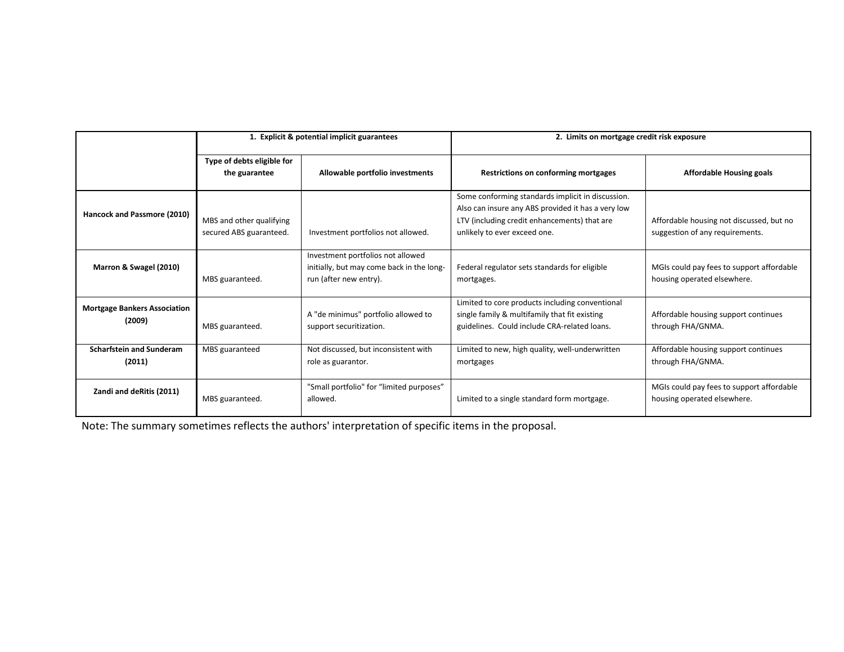|                                               | 1. Explicit & potential implicit guarantees         |                                                                                                          | 2. Limits on mortgage credit risk exposure                                                                                                                                              |                                                                             |  |  |
|-----------------------------------------------|-----------------------------------------------------|----------------------------------------------------------------------------------------------------------|-----------------------------------------------------------------------------------------------------------------------------------------------------------------------------------------|-----------------------------------------------------------------------------|--|--|
|                                               | Type of debts eligible for<br>the guarantee         | Allowable portfolio investments                                                                          | Restrictions on conforming mortgages                                                                                                                                                    | <b>Affordable Housing goals</b>                                             |  |  |
| Hancock and Passmore (2010)                   | MBS and other qualifying<br>secured ABS guaranteed. | Investment portfolios not allowed.                                                                       | Some conforming standards implicit in discussion.<br>Also can insure any ABS provided it has a very low<br>LTV (including credit enhancements) that are<br>unlikely to ever exceed one. | Affordable housing not discussed, but no<br>suggestion of any requirements. |  |  |
| Marron & Swagel (2010)                        | MBS guaranteed.                                     | Investment portfolios not allowed<br>initially, but may come back in the long-<br>run (after new entry). | Federal regulator sets standards for eligible<br>mortgages.                                                                                                                             | MGIs could pay fees to support affordable<br>housing operated elsewhere.    |  |  |
| <b>Mortgage Bankers Association</b><br>(2009) | MBS guaranteed.                                     | A "de minimus" portfolio allowed to<br>support securitization.                                           | Limited to core products including conventional<br>single family & multifamily that fit existing<br>guidelines. Could include CRA-related loans.                                        | Affordable housing support continues<br>through FHA/GNMA.                   |  |  |
| <b>Scharfstein and Sunderam</b><br>(2011)     | MBS guaranteed                                      | Not discussed, but inconsistent with<br>role as guarantor.                                               | Limited to new, high quality, well-underwritten<br>mortgages                                                                                                                            | Affordable housing support continues<br>through FHA/GNMA.                   |  |  |
| Zandi and deRitis (2011)                      | MBS guaranteed.                                     | "Small portfolio" for "limited purposes"<br>allowed.                                                     | Limited to a single standard form mortgage.                                                                                                                                             | MGIs could pay fees to support affordable<br>housing operated elsewhere.    |  |  |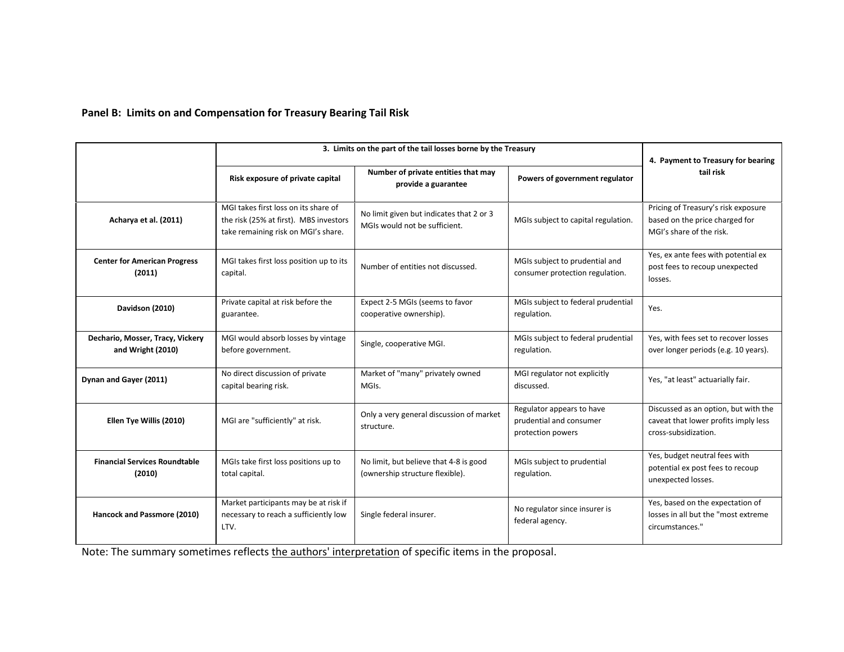## **Panel B: Limits on and Compensation for Treasury Bearing Tail Risk**

|                                                                                                                       | 3. Limits on the part of the tail losses borne by the Treasury                                                        |                                                                           |                                                                           |                                                                                                      |  |  |
|-----------------------------------------------------------------------------------------------------------------------|-----------------------------------------------------------------------------------------------------------------------|---------------------------------------------------------------------------|---------------------------------------------------------------------------|------------------------------------------------------------------------------------------------------|--|--|
|                                                                                                                       | Risk exposure of private capital                                                                                      | Number of private entities that may<br>provide a guarantee                | Powers of government regulator                                            | 4. Payment to Treasury for bearing<br>tail risk                                                      |  |  |
| Acharya et al. (2011)                                                                                                 | MGI takes first loss on its share of<br>the risk (25% at first). MBS investors<br>take remaining risk on MGI's share. | No limit given but indicates that 2 or 3<br>MGIs would not be sufficient. | MGIs subject to capital regulation.                                       | Pricing of Treasury's risk exposure<br>based on the price charged for<br>MGI's share of the risk.    |  |  |
| <b>Center for American Progress</b><br>(2011)                                                                         | MGI takes first loss position up to its<br>capital.                                                                   | Number of entities not discussed.                                         | MGIs subject to prudential and<br>consumer protection regulation.         | Yes, ex ante fees with potential ex<br>post fees to recoup unexpected<br>losses.                     |  |  |
| Davidson (2010)                                                                                                       | Private capital at risk before the<br>guarantee.                                                                      | Expect 2-5 MGIs (seems to favor<br>cooperative ownership).                | MGIs subject to federal prudential<br>regulation.                         | Yes.                                                                                                 |  |  |
| Dechario, Mosser, Tracy, Vickery<br>and Wright (2010)                                                                 | MGI would absorb losses by vintage<br>before government.                                                              | Single, cooperative MGI.                                                  | MGIs subject to federal prudential<br>regulation.                         | Yes, with fees set to recover losses<br>over longer periods (e.g. 10 years).                         |  |  |
| Dynan and Gayer (2011)                                                                                                | No direct discussion of private<br>capital bearing risk.                                                              | Market of "many" privately owned<br>MGIs.                                 | MGI regulator not explicitly<br>discussed.                                | Yes, "at least" actuarially fair.                                                                    |  |  |
| Ellen Tye Willis (2010)                                                                                               | MGI are "sufficiently" at risk.                                                                                       | Only a very general discussion of market<br>structure.                    | Regulator appears to have<br>prudential and consumer<br>protection powers | Discussed as an option, but with the<br>caveat that lower profits imply less<br>cross-subsidization. |  |  |
| <b>Financial Services Roundtable</b><br>(2010)                                                                        | MGIs take first loss positions up to<br>total capital.                                                                | No limit, but believe that 4-8 is good<br>(ownership structure flexible). | MGIs subject to prudential<br>regulation.                                 | Yes, budget neutral fees with<br>potential ex post fees to recoup<br>unexpected losses.              |  |  |
| Market participants may be at risk if<br>Hancock and Passmore (2010)<br>necessary to reach a sufficiently low<br>LTV. |                                                                                                                       | Single federal insurer.                                                   | No regulator since insurer is<br>federal agency.                          | Yes, based on the expectation of<br>losses in all but the "most extreme<br>circumstances."           |  |  |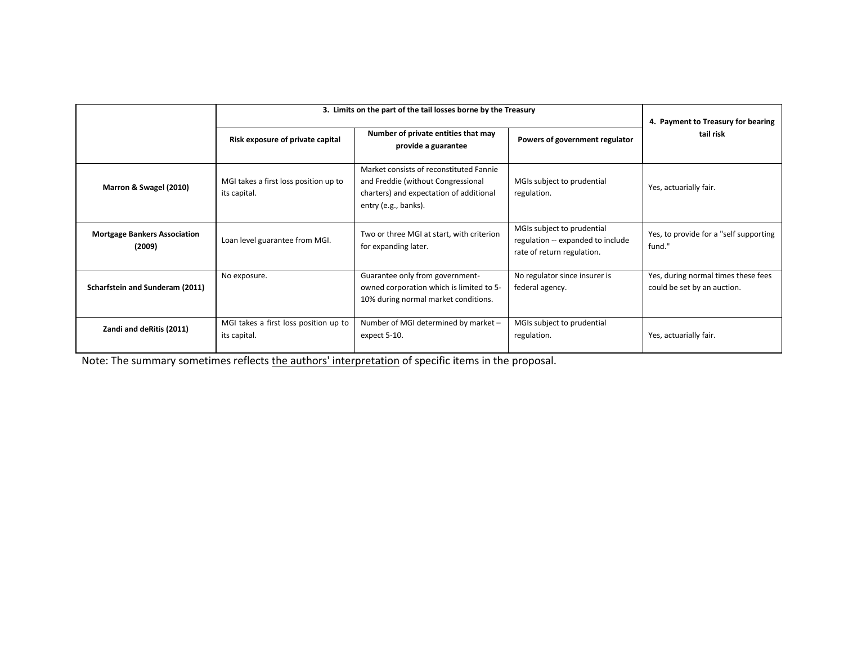|                                               | 3. Limits on the part of the tail losses borne by the Treasury | 4. Payment to Treasury for bearing                                                                                                               |                                                                                               |                                                                    |  |
|-----------------------------------------------|----------------------------------------------------------------|--------------------------------------------------------------------------------------------------------------------------------------------------|-----------------------------------------------------------------------------------------------|--------------------------------------------------------------------|--|
|                                               | Risk exposure of private capital                               | Number of private entities that may<br>provide a guarantee                                                                                       | Powers of government regulator                                                                | tail risk                                                          |  |
| Marron & Swagel (2010)                        | MGI takes a first loss position up to<br>its capital.          | Market consists of reconstituted Fannie<br>and Freddie (without Congressional<br>charters) and expectation of additional<br>entry (e.g., banks). | MGIs subject to prudential<br>regulation.                                                     | Yes, actuarially fair.                                             |  |
| <b>Mortgage Bankers Association</b><br>(2009) | Loan level guarantee from MGI.                                 | Two or three MGI at start, with criterion<br>for expanding later.                                                                                | MGIs subject to prudential<br>regulation -- expanded to include<br>rate of return regulation. | Yes, to provide for a "self supporting<br>fund."                   |  |
| Scharfstein and Sunderam (2011)               | No exposure.                                                   | Guarantee only from government-<br>owned corporation which is limited to 5-<br>10% during normal market conditions.                              | No regulator since insurer is<br>federal agency.                                              | Yes, during normal times these fees<br>could be set by an auction. |  |
| Zandi and deRitis (2011)                      | MGI takes a first loss position up to<br>its capital.          | Number of MGI determined by market -<br>expect 5-10.                                                                                             | MGIs subject to prudential<br>regulation.                                                     | Yes, actuarially fair.                                             |  |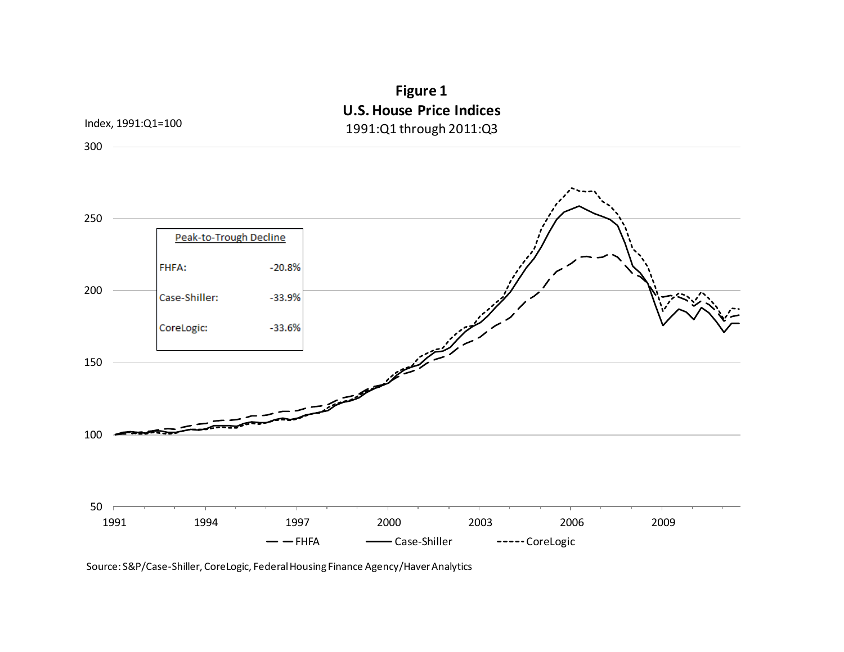# **Figure 1 U.S. House Price Indices** 1991:Q1 through 2011:Q3



Source: S&P/Case-Shiller, CoreLogic, Federal Housing Finance Agency/Haver Analytics

Index, 1991:Q1=100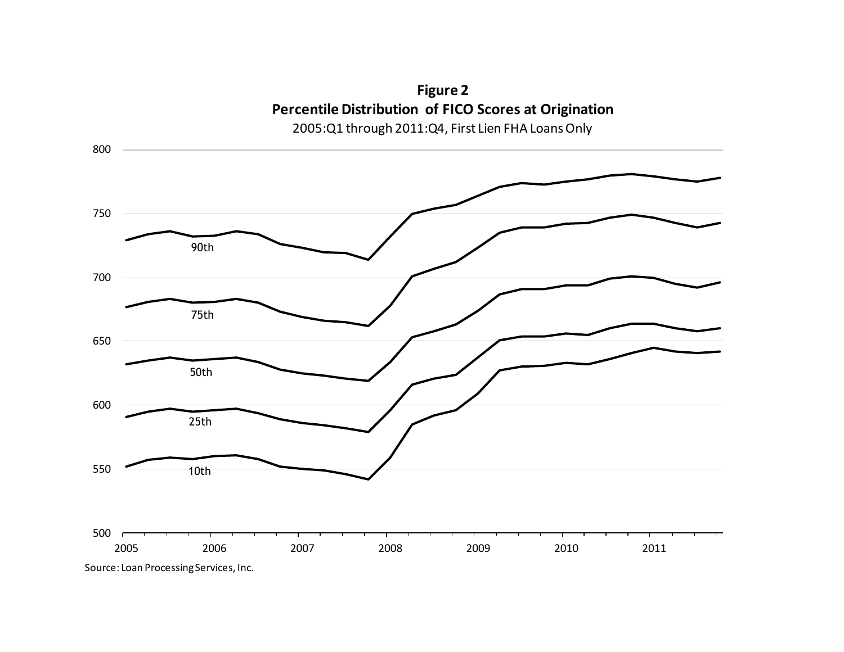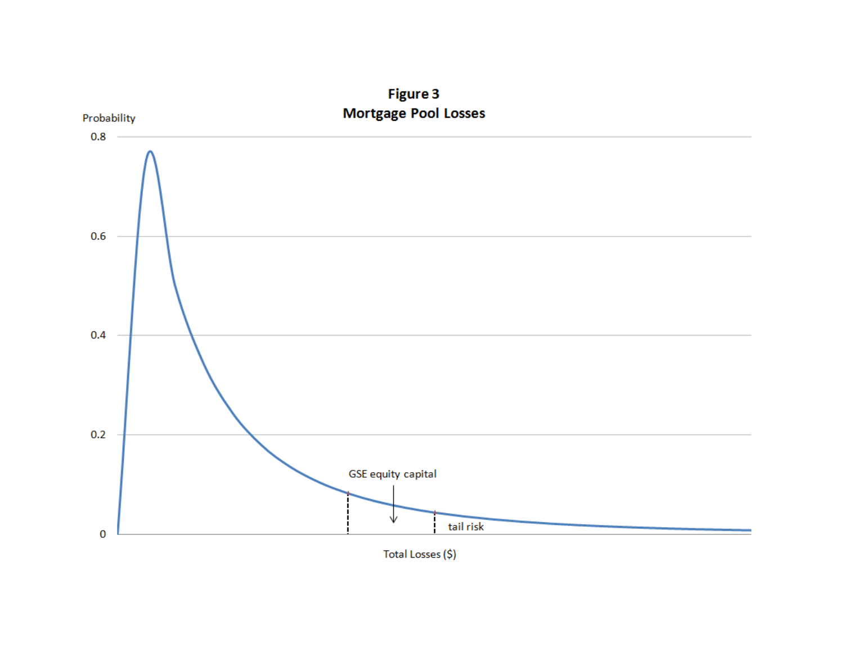

Figure 3

Total Losses (\$)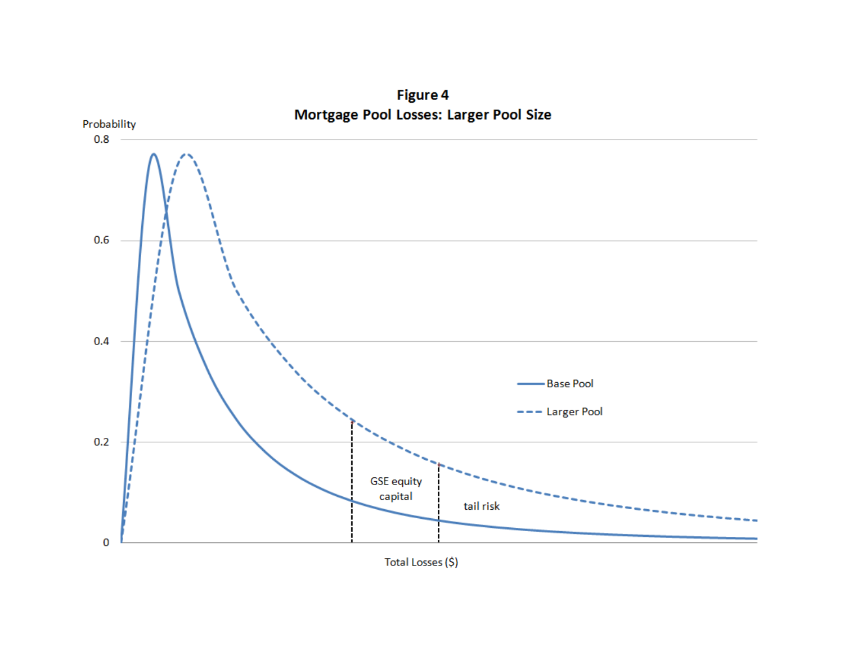

Figure 4

Total Losses (\$)